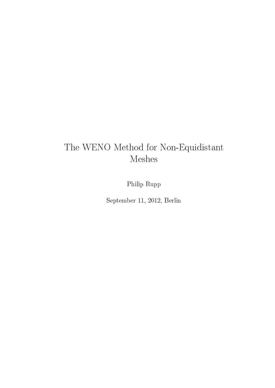# The WENO Method for Non-Equidistant Meshes

Philip Rupp

September 11, 2012, Berlin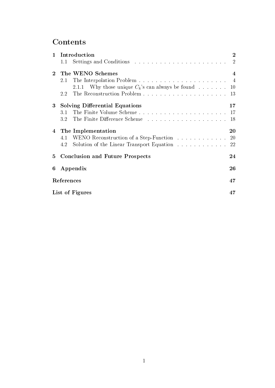# **Contents**

| $\mathbf 1$ | Introduction                                           |  |  | $\overline{2}$ |
|-------------|--------------------------------------------------------|--|--|----------------|
|             | 1.1                                                    |  |  | $\overline{2}$ |
| $\bf{2}^-$  | The WENO Schemes                                       |  |  | $\overline{4}$ |
|             |                                                        |  |  |                |
|             | 2.1.1 Why those unique $C_k$ 's can always be found 10 |  |  |                |
|             | 2.2                                                    |  |  |                |
|             | 3 Solving Differential Equations                       |  |  | $17\,$         |
|             |                                                        |  |  |                |
|             |                                                        |  |  | 18             |
|             | 4 The Implementation                                   |  |  | 20             |
|             | 4.1 WENO Reconstruction of a Step-Function 20          |  |  |                |
|             | Solution of the Linear Transport Equation 22<br>4.2    |  |  |                |
| 5           | <b>Conclusion and Future Prospects</b>                 |  |  | 24             |
|             | 6 Appendix                                             |  |  | 26             |
|             | ${\rm References}$                                     |  |  | 47             |
|             | List of Figures                                        |  |  | 47             |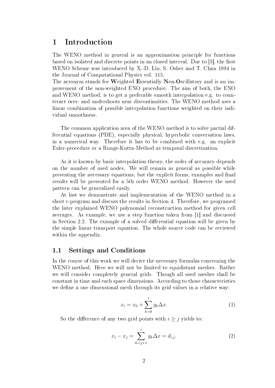## 1 Introduction

The WENO method in general is an approximation principle for functions based on isolated and discrete points in an closed interval. Due to  $|3|$ , the first WENO Scheme was introduced by X.-D. Liu, S. Osher and T. Chan 1994 in the Journal of Computational Physics vol. 115.

The acronym stands for Weighted Essentially Non-Oscillatory and is an improvement of the non-weighted ENO procedure. The aim of both, the ENO and WENO method, is to get a preferable smooth interpolation e.g. to counteract over- and undershoots near discontinuities. The WENO method uses a linear combination of possible interpolation functions weighted on their individual smoothness.

The common application area of the WENO method is to solve partial differential equations (PDE), especially physical, hyperbolic conversation laws, in a numerical way. Therefore it has to be combined with e.g. an explicit Euler-procedure or a Runge-Kutta-Method as temporal discretization.

As it is known by basic interpolation theory, the order of accuracy depends on the number of used nodes. We will remain as general as possible while presenting the necessary equations, but the explicit forms, examples and final results will be presented for a 5th order WENO method. However the used pattern can be generalized easily.

At last we demonstrate and implementation of the WENO method in a short c-program and discuss the results in Section 4. Therefore, we programed the later explained WENO polynomial reconstruction method for given cell averages. As example, we use a step function taken from [1] and discussed in Section 2.2. The example of a solved differential equation will be given by the simple linear transport equation. The whole source code can be reviewed within the appendix.

#### 1.1 Settings and Conditions

In the course of this work we will derive the necessary formulas concerning the WENO method. Here we will not be limited to equidistant meshes. Rather we will consider completely general grids. Though all used meshes shall be constant in time and each space dimensions. According to those characteristics we define a one dimensional mesh through its grid values in a relative way.

$$
x_i = x_0 + \sum_{k=0}^{i} g_k \Delta x.
$$
 (1)

So the difference of any two grid points with  $i \geq j$  yields to:

$$
x_i - x_j = \sum_{k=j+1}^i g_k \Delta x = d_{i,j}.
$$
 (2)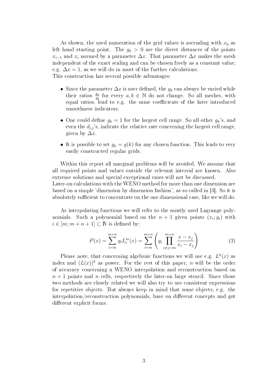As shown, the used numeration of the grid values is ascending with  $x_0$  as left hand starting point. The  $g_k > 0$  are the direct distances of the points  $x_{i-1}$  and  $x_i$  normed by a parameter  $\Delta x$ . That parameter  $\Delta x$  makes the mesh independent of the exact scaling and can be chosen freely as a constant value; e.g.  $\Delta x = 1$ , as we will do in most of the further calculations. This construction has several possible advantages:

- Since the parameter  $\Delta x$  is user defined, the  $g_k$  can always be varied while their ratios  $\frac{g_a}{g_b}$  for every  $a, b \in \mathbb{N}$  do not change. So all meshes, with equal ratios, lead to e.g. the same coefficients of the later introduced smoothness indicators.
- One could define  $g_k = 1$  for the largest cell range. So all other  $g_k$ 's, and even the  $d_{i,j}$ 's, indicate the relative rate concerning the largest cell range given by  $\Delta x$ .
- It is possible to set  $g_k = g(k)$  for any chosen function. This leads to very easily constructed regular grids.

Within this report all marginal problems will be avoided. We assume that all required points and values outside the relevant interval are known. Also extreme solutions and special exceptional cases will not be discussed. Later-on calculations with the WENO method for more than one dimension are based on a simple 'dimension by dimension fashion', as so called in [3]. So it is absolutely sufficient to concentrate on the one dimensional case, like we will do.

As interpolating functions we will refer to the mostly used Lagrange polynomials. Such a polynomial based on the  $n+1$  given points  $(x_i; y_i)$  with  $i \in [m; m+n+1] \subset \mathbb{N}$  is defined by:

$$
P(x) = \sum_{i=m}^{m+n} y_i L_i^m(x) = \sum_{i=m}^{m+n} \left( y_i \prod_{i \neq j=m}^{m+n} \frac{x - x_j}{x_i - x_j} \right)
$$
(3)

Please note, that concerning algebraic functions we will use e.g.  $L^k(x)$  as index and  $(L(x))^k$  as power. For the rest of this paper, n will be the order of accuracy concerning a WENO interpolation and reconstruction based on  $n + 1$  points and n cells, respectively the later-on large stencil. Since those two methods are closely related we will also try to use consistent expressions for repetitive objects. But always keep in mind that some objects, e.g. the interpolation/reconstruction polynomials, base on different concepts and got different explicit forms.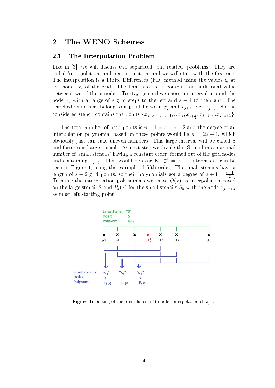### 2 The WENO Schemes

#### 2.1 The Interpolation Problem

Like in [3], we will discuss two separated, but related, problems. They are called 'interpolation' and 'reconstruction' and we will start with the first one. The interpolation is a Finite Differences (FD) method using the values  $y_i$  at the nodes  $x_i$  of the grid. The final task is to compute an additional value between two of those nodes. To stay general we chose an interval around the node  $x_i$  with a range of s grid steps to the left and  $s + 1$  to the right. The searched value may belong to a point between  $x_j$  and  $x_{j+1}$ , e.g.  $x_{j+\frac{1}{2}}$ . So the considered stencil contains the points  $\{x_{j-s}, x_{j-s+1}, ... x_j, x_{j+\frac{1}{2}}, x_{j+1}, ... x_{j+s+1}\}.$ 

The total number of used points is  $n + 1 = s + s + 2$  and the degree of an interpolation polynomial based on those points would be  $n = 2s + 1$ , which obviously just can take uneven numbers. This large interval will be called S and forms our 'large stencil'. As next step we divide this Stencil in a maximal number of 'small stencils' having a constant order, formed out of the grid nodes and containing  $x_{j+\frac{1}{2}}$ . That would be exactly  $\frac{n+1}{2} = s+1$  intervals as can be seen in Figure 1, using the example of fifth order. The small stencils have a length of  $s + 2$  grid points, so their polynomials got a degree of  $s + 1 = \frac{n+1}{2}$ . To name the interpolation polynomials we chose  $Q(x)$  as interpolation based on the large stencil S and  $P_k(x)$  for the small stencils  $S_k$  with the node  $x_{j-s+k}$ as most left starting point.



**Figure 1:** Setting of the Stencils for a 5th order interpolation of  $x_{j+\frac{1}{2}}$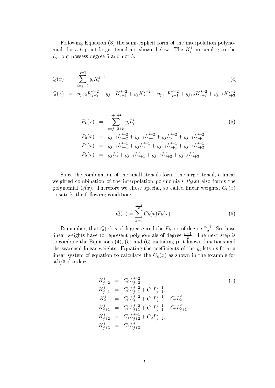Following Equation (3) the semi-explicit form of the interpolation polynomials for a 6-point large stencil are shown below. The  $K_i^j$  $i<sup>j</sup>$  are analog to the  $L_i^j$  $i_i^j$ , but possess degree 5 and not 3.

$$
Q(x) = \sum_{i=j-2}^{j+3} y_i K_i^{j-2}
$$
\n(4)

$$
Q(x) = y_{j-2}K_{j-2}^{j-2} + y_{j-1}K_{j-1}^{j-2} + y_jK_j^{j-2} + y_{j+1}K_{j+1}^{j-2} + y_{j+2}K_{j+2}^{j-2} + y_{j+3}K_{j+3}^{j-2}.
$$

$$
P_k(x) = \sum_{i=j-2+k}^{j+1+k} y_i L_i^k
$$
(5)  
\n
$$
P_0(x) = y_{j-2} L_{j-2}^{j-2} + y_{j-1} L_{j-1}^{j-2} + y_j L_j^{j-2} + y_{j+1} L_{j+1}^{j-2},
$$
  
\n
$$
P_1(x) = y_{j-1} L_{j-1}^{j-1} + y_j L_j^{j-1} + y_{j+1} L_{j+1}^{j-1} + y_{j+2} L_{j+2}^{j-1},
$$
  
\n
$$
P_2(x) = y_j L_j^j + y_{j+1} L_{j+1}^j + y_{j+2} L_{j+2}^j + y_{j+3} L_{j+3}^j.
$$

Since the combination of the small stencils forms the large stencil, a linear weighted combination of the interpolation polynomials  $P_k(x)$  also forms the polynomial  $Q(x)$ . Therefore we chose special, so called linear weights,  $C_k(x)$ to satisfy the following condition:

$$
Q(x) = \sum_{k=0}^{\frac{n-1}{2}} C_k(x) P_k(x).
$$
 (6)

Remember, that  $Q(x)$  is of degree n and the  $P_k$  are of degree  $\frac{n+1}{2}$ . So those linear weights have to represent polynomials of degree  $\frac{n-1}{2}$ . The next step is to combine the Equations (4), (5) and (6) including just known functions and the searched linear weights. Equating the coefficients of the  $y_i$  lets us form a linear system of equation to calculate the  $C_k(x)$  as shown in the example for 5th/3rd order:

$$
K_{j-2}^{j} = C_{0}L_{j-2}^{j-2},
$$
\n
$$
K_{j-1}^{j} = C_{0}L_{j-1}^{j-2} + C_{1}L_{j-1}^{j-1},
$$
\n
$$
K_{j}^{j} = C_{0}L_{j}^{j-2} + C_{1}L_{j}^{j-1} + C_{2}L_{j}^{j},
$$
\n
$$
K_{j+1}^{j} = C_{0}L_{j+1}^{j-2} + C_{1}L_{j+1}^{j-1} + C_{2}L_{j+1}^{j},
$$
\n
$$
K_{j+2}^{j} = C_{1}L_{j+2}^{j-1} + C_{2}L_{j+2}^{j},
$$
\n
$$
K_{j+3}^{j} = C_{2}L_{j+3}^{j}.
$$
\n(7)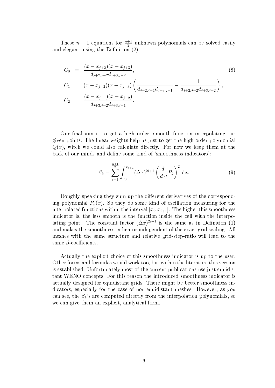These  $n+1$  equations for  $\frac{n+1}{2}$  unknown polynomials can be solved easily and elegant, using the Definition  $(2)$ :

$$
C_0 = \frac{(x - x_{j+2})(x - x_{j+3})}{d_{j+2,j-2}d_{j+3,j-2}},
$$
\n
$$
C_1 = (x - x_{j-2})(x - x_{j+3})\left(\frac{1}{d_{j-2,j-1}d_{j+3,j-1}} - \frac{1}{d_{j+2,j-2}d_{j+3,j-2}}\right),
$$
\n
$$
C_2 = \frac{(x - x_{j-1})(x - x_{j-2})}{d_{j+3,j-2}d_{j+3,j-1}}.
$$
\n(8)

Our final aim is to get a high order, smooth function interpolating our given points. The linear weights help us just to get the high order polynomial  $Q(x)$ , witch we could also calculate directly. For now we keep them at the back of our minds and define some kind of 'smoothness indicators':

$$
\beta_k = \sum_{i=1}^{\frac{n+1}{2}} \int_{x_j}^{x_{j+1}} (\Delta x)^{2i+1} \left(\frac{d^i}{dx^i} P_k\right)^2 dx.
$$
 (9)

Roughly speaking they sum up the different derivatives of the corresponding polynomial  $P_k(x)$ . So they do some kind of oscillation measuring for the interpolated functions within the interval  $[x_i; x_{i+1}]$ . The higher this smoothness indicator is, the less smooth is the function inside the cell with the interpolating point. The constant factor  $(\Delta x)^{2i+1}$  is the same as in Definition (1) and makes the smoothness indicator independent of the exact grid scaling. All meshes with the same structure and relative grid-step-ratio will lead to the same  $\beta$ -coefficients.

Actually the explicit choice of this smoothness indicator is up to the user. Other forms and formulas would work too, but within the literature this version is established. Unfortunately most of the current publications use just equidistant WENO concepts. For this reason the introduced smoothness indicator is actually designed for equidistant grids. There might be better smoothness indicators, especially for the case of non-equidistant meshes. However, as you can see, the  $\beta_k$ 's are computed directly from the interpolation polynomials, so we can give them an explicit, analytical form.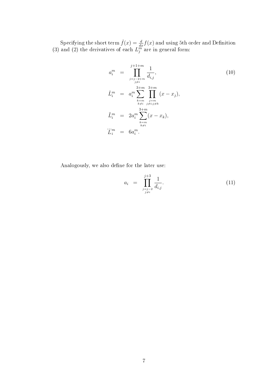Specifying the short term  $\dot{f}(x) = \frac{d}{dx} f(x)$  and using 5th order and Definition (3) and (2) the derivatives of each  $L_j^{\overline{m}}$  are in general form:

$$
a_i^m = \prod_{\substack{j=j-2+m \ j \neq i}}^{j+1+m} \frac{1}{d_{i,j}},
$$
  
\n
$$
\dot{L}_i^m = a_i^m \sum_{\substack{k=m \ k \neq i}}^{3+m} \prod_{\substack{j=m \ k \neq i,j \neq k}}^{3+m} (x - x_j),
$$
  
\n
$$
\ddot{L}_i^m = 2a_i^m \sum_{\substack{k=m \ k \neq i}}^{3+m} (x - x_k),
$$
  
\n
$$
\ddot{L}_i^m = 6a_i^m.
$$
  
\n(10)

Analogously, we also define for the later use:

$$
a_i = \prod_{\substack{j=j-2 \ j \neq i}}^{j+3} \frac{1}{d_{i,j}}.\tag{11}
$$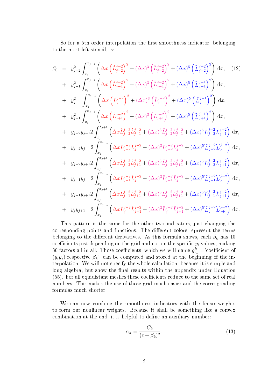So for a 5th order interpolation the first smoothness indicator, belonging to the most left stencil, is:

$$
\beta_{0} = y_{j-2}^{2} \int_{x_{j}}^{x_{j+1}} \left( \Delta x \left( \dot{L}_{j-2}^{j-2} \right)^{2} + (\Delta x)^{3} \left( \ddot{L}_{j-2}^{j-2} \right)^{2} + (\Delta x)^{5} \left( \ddot{L}_{j-2}^{j-2} \right)^{2} \right) dx, (12)
$$
\n
$$
+ y_{j-1}^{2} \int_{x_{j}}^{x_{j+1}} \left( \Delta x \left( \dot{L}_{j-1}^{j-2} \right)^{2} + (\Delta x)^{3} \left( \ddot{L}_{j-1}^{j-2} \right)^{2} + (\Delta x)^{5} \left( \ddot{L}_{j-1}^{j-1} \right)^{2} \right) dx, (12)
$$
\n
$$
+ y_{j}^{2} \int_{x_{j}}^{x_{j+1}} \left( \Delta x \left( \dot{L}_{j}^{j-2} \right)^{2} + (\Delta x)^{3} \left( \ddot{L}_{j}^{j-2} \right)^{2} + (\Delta x)^{5} \left( \ddot{L}_{j}^{j-1} \right)^{2} \right) dx, (12)
$$
\n
$$
+ y_{j+1}^{2} \int_{x_{j}}^{x_{j+1}} \left( \Delta x \left( \dot{L}_{j+1}^{j-2} \right)^{2} + (\Delta x)^{3} \left( \ddot{L}_{j+1}^{j-2} \right)^{2} + (\Delta x)^{5} \left( \ddot{L}_{j+1}^{j-1} \right)^{2} \right) dx, (12)
$$
\n
$$
+ y_{j-2} y_{j-1}^{2} \int_{x_{j}}^{x_{j+1}} \left( \Delta x \dot{L}_{j-2}^{j-2} \dot{L}_{j-1}^{j-2} + (\Delta x)^{3} \ddot{L}_{j-2}^{j-2} \ddot{L}_{j-1}^{j-2} + (\Delta x)^{5} \ddot{L}_{j-2}^{j-2} \ddot{L}_{j-1}^{j-2} \right) dx, (12)
$$
\n
$$
+ y_{j-2} y_{j} \quad 2 \int_{x_{j}}^{x_{j+1}} \left( \Delta x \dot{L}_{j-2}^{j-2} \dot{L}_{j+1}^{j-2} + (\
$$

This pattern is the same for the other two indicators, just changing the corresponding points and functions. The different colors represent the terms belonging to the different derivatives. As this formula shows, each  $\beta_k$  has 10 coefficients just depending on the grid and not on the specific  $y_i$ -values, making 30 factors all in all. Those coefficients, which we will name  $g_{i,j}^k =$  coefficient of  $(y_i y_j)$  respective  $\beta_k$ ', can be computed and stored at the beginning of the interpolation. We will not specify the whole calculation, because it is simple and long algebra, but show the final results within the appendix under Equation (55). For all equidistant meshes these coefficients reduce to the same set of real numbers. This makes the use of those grid much easier and the corresponding formulas much shorter.

We can now combine the smoothness indicators with the linear weights to form our nonlinear weights. Because it shall be something like a convex combination at the end, it is helpful to define an auxiliary number:

$$
\alpha_k = \frac{C_k}{(\epsilon + \beta_k)^2}.\tag{13}
$$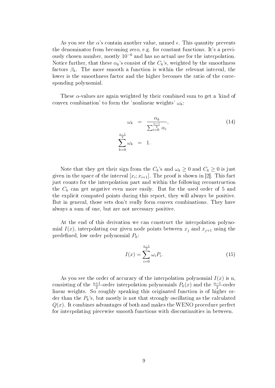As you see the  $\alpha$ 's contain another value, named  $\epsilon$ . This quantity prevents the denominator from becoming zero, e.g. for constant functions. It's a previously chosen number, mostly  $10^{-6}$  and has no actual use for the interpolation. Notice further, that these  $\alpha_k$ 's consist of the  $C_k$ 's, weighted by the smoothness factors  $\beta_k$ . The more smooth a function is within the relevant interval, the lower is the smoothness factor and the higher becomes the ratio of the corresponding polynomial.

These  $\alpha$ -values are again weighted by their combined sum to get a 'kind of convex combination' to form the 'nonlinear weights'  $\omega_k$ :

$$
\omega_k = \frac{\alpha_k}{\sum_{i=0}^{\frac{n-1}{2}} \alpha_i},
$$
\n
$$
\sum_{k=0}^{\frac{n-1}{2}} \omega_k = 1.
$$
\n(14)

Note that they get their sign from the  $C_k$ 's and  $\omega_k \geq 0$  and  $C_k \geq 0$  is just given in the space of the interval  $[x_i; x_{i+1}]$ . The proof is shown in [2]. This fact just counts for the interpolation part and within the following reconstruction the  $C_k$  can get negative even more easily. But for the used order of 5 and the explicit computed points during this report, they will always be positive. But in general, those sets don't really form convex combinations. They have always a sum of one, but are not necessary positive.

At the end of this derivation we can construct the interpolation polynomial  $I(x)$ , interpolating our given node points between  $x_i$  and  $x_{i+1}$  using the predefined, low order polynomial  $P_k$ :

$$
I(x) = \sum_{i=0}^{\frac{n-1}{2}} \omega_i P_i.
$$
 (15)

As you see the order of accuracy of the interpolation polynomial  $I(x)$  is n, consisting of the  $\frac{n+1}{2}$ -order interpolation polynomials  $P_k(x)$  and the  $\frac{n-1}{2}$ -order linear weights. So roughly speaking this originated function is of higher order than the  $P_k$ 's, but mostly is not that strongly oscillating as the calculated  $Q(x)$ . It combines advantages of both and makes the WENO procedure perfect for interpolating piecewise smooth functions with discontinuities in between.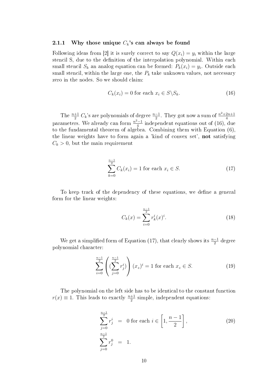#### 2.1.1 Why those unique  $C_k$ 's can always be found

Following ideas from [2] it is surely correct to say  $Q(x_i) = y_i$  within the large stencil S, due to the definition of the interpolation polynomial. Within each small stencil  $S_k$  an analog equation can be formed:  $P_k(x_i) = y_i$ . Outside each small stencil, within the large one, the  $P_k$  take unknown values, not necessary zero in the nodes. So we should claim:

$$
C_k(x_i) = 0 \text{ for each } x_i \in S \backslash S_k. \tag{16}
$$

The  $\frac{n+1}{2}$  C<sub>k</sub>'s are polynomials of degree  $\frac{n-1}{2}$ . They got now a sum of  $\frac{n^2+2n+1}{4}$ parameters. We already can form  $\frac{n^2-1}{4}$  independent equations out of (16),  $\frac{q-1}{4}$  independent equations out of (16), due to the fundamental theorem of algebra. Combining them with Equation (6), the linear weights have to form again a 'kind of convex set', not satisfying  $C_k > 0$ , but the main requirement

$$
\sum_{k=0}^{\frac{n-1}{2}} C_k(x_i) = 1 \text{ for each } x_i \in S. \tag{17}
$$

To keep track of the dependency of these equations, we define a general form for the linear weights:

$$
C_k(x) = \sum_{i=0}^{\frac{n-1}{2}} r_k^i(x)^i.
$$
 (18)

We get a simplified form of Equation (17), that clearly shows its  $\frac{n-1}{2}$  degree polynomial character:

$$
\sum_{i=0}^{\frac{n-1}{2}} \left( (\sum_{j=0}^{\frac{n-1}{2}} r_j^i) \right) (x_z)^i = 1 \text{ for each } x_z \in S. \tag{19}
$$

The polynomial on the left side has to be identical to the constant function  $r(x) \equiv 1$ . This leads to exactly  $\frac{n+1}{2}$  simple, independent equations:

$$
\sum_{j=0}^{\frac{n-1}{2}} r_j^i = 0 \text{ for each } i \in \left[1, \frac{n-1}{2}\right],
$$
\n
$$
\sum_{j=0}^{\frac{n-1}{2}} r_j^0 = 1.
$$
\n(20)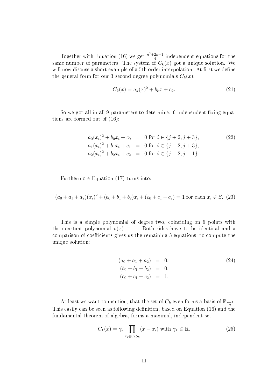Together with Equation (16) we get  $\frac{n^2+2n+1}{4}$  $\frac{2n+1}{4}$  independent equations for the same number of parameters. The system of  $C_k(x)$  got a unique solution. We will now discuss a short example of a 5th order interpolation. At first we define the general form for our 3 second degree polynomials  $C_k(x)$ :

$$
C_k(x) = a_k(x)^2 + b_k x + c_k.
$$
 (21)

So we got all in all 9 parameters to determine. 6 independent fixing equations are formed out of (16):

$$
a_0(x_i)^2 + b_0x_i + c_0 = 0 \text{ for } i \in \{j+2, j+3\},
$$
  
\n
$$
a_1(x_i)^2 + b_1x_i + c_1 = 0 \text{ for } i \in \{j-2, j+3\},
$$
  
\n
$$
a_2(x_i)^2 + b_2x_i + c_2 = 0 \text{ for } i \in \{j-2, j-1\}.
$$
\n(22)

Furthermore Equation (17) turns into:

$$
(a_0 + a_1 + a_2)(x_i)^2 + (b_0 + b_1 + b_2)x_i + (c_0 + c_1 + c_2) = 1
$$
 for each  $x_i \in S$ . (23)

This is a simple polynomial of degree two, coinciding on 6 points with the constant polynomial  $v(x) \equiv 1$ . Both sides have to be identical and a comparison of coefficients gives us the remaining 3 equations, to compute the unique solution:

$$
(a_0 + a_1 + a_2) = 0,
$$
  
\n
$$
(b_0 + b_1 + b_2) = 0,
$$
  
\n
$$
(c_0 + c_1 + c_2) = 1.
$$
\n(24)

At least we want to mention, that the set of  $C_k$  even forms a basis of  $\mathbb{P}_{\frac{n-1}{2}}$ . This easily can be seen as following definition, based on Equation (16) and the fundamental theorem of algebra, forms a maximal, independent set:

$$
C_k(x) = \gamma_k \prod_{x_i \in S \setminus S_k} (x - x_i) \text{ with } \gamma_k \in \mathbb{R}.
$$
 (25)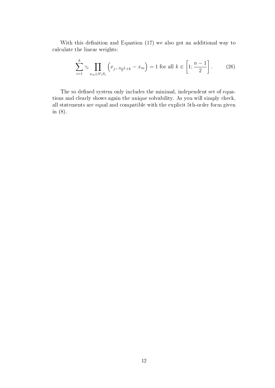With this definition and Equation  $(17)$  we also got an additional way to calculate the linear weights:

$$
\sum_{i=1}^{k} \gamma_i \prod_{x_m \in S \setminus S_i} \left( x_{j - \frac{n-1}{2} + k} - x_m \right) = 1 \text{ for all } k \in \left[ 1; \frac{n-1}{2} \right]. \tag{26}
$$

The so defined system only includes the minimal, independent set of equations and clearly shows again the unique solvability. As you will simply check, all statements are equal and compatible with the explicit 5th-order form given in (8).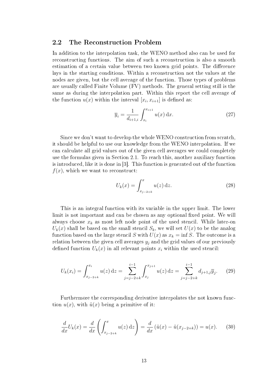#### 2.2 The Reconstruction Problem

In addition to the interpolation task, the WENO method also can be used for reconstructing functions. The aim of such a reconstruction is also a smooth estimation of a certain value between two known grid points. The difference lays in the starting conditions. Within a reconstruction not the values at the nodes are given, but the cell average of the function. Those types of problems are usually called Finite Volume (FV) methods. The general setting still is the same as during the interpolation part. Within this report the cell average of the function  $u(x)$  within the interval  $[x_i, x_{i+1}]$  is defined as:

$$
\overline{y}_i = \frac{1}{d_{i+1,i}} \int_{x_i}^{x_{i+1}} u(x) \, dx.
$$
 (27)

Since we don't want to develop the whole WENO construction from scratch, it should be helpful to use our knowledge from the WENO interpolation. If we can calculate all grid values out of the given cell averages we could completely use the formulas given in Section 2.1. To reach this, another auxiliary function is introduced, like it is done in [3]. This function is generated out of the function  $f(x)$ , which we want to reconstruct:

$$
U_k(x) = \int_{x_{j-2+k}}^{x} u(z) \, \mathrm{d}z. \tag{28}
$$

This is an integral function with its variable in the upper limit. The lower limit is not important and can be chosen as any optional fixed point. We will always choose  $x_k$  as most left node point of the used stencil. While later-on  $U_k(x)$  shall be based on the small stencil  $S_k$ , we will set  $U(x)$  to be the analog function based on the large stencil S with  $U(x)$  as  $x_k = \inf S$ . The outcome is a relation between the given cell averages  $y_j$  and the grid values of our previously defined function  $U_k(x)$  in all relevant points  $x_i$  within the used stencil:

$$
U_k(x_i) = \int_{x_{j-2+k}}^{x_i} u(z) dz = \sum_{j=j-2+k}^{i-1} \int_{x_j}^{x_{j+1}} u(z) dz = \sum_{j=j-2+k}^{i-1} d_{j+1,j} \overline{y}_j.
$$
 (29)

Furthermore the corresponding derivative interpolates the not known function  $u(x)$ , with  $\tilde{u}(x)$  being a primitive of it:

$$
\frac{d}{dx}U_k(x) = \frac{d}{dx}\left(\int_{x_{j-2+k}}^x u(z) \,dz\right) = \frac{d}{dx}\left(\tilde{u}(x) - \tilde{u}(x_{j-2+k})\right) = u(x). \tag{30}
$$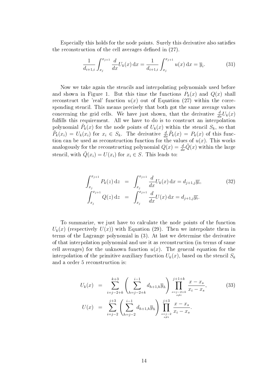Especially this holds for the node points. Surely this derivative also satisfies the reconstruction of the cell averages defined in  $(27)$ .

$$
\frac{1}{d_{i+1,i}} \int_{x_j}^{x_{j+1}} \frac{d}{dx} U_k(x) \, \mathrm{d}x = \frac{1}{d_{i+1,i}} \int_{x_j}^{x_{j+1}} u(x) \, \mathrm{d}x = \overline{y}_i. \tag{31}
$$

Now we take again the stencils and interpolating polynomials used before and shown in Figure 1. But this time the functions  $P_k(x)$  and  $Q(x)$  shall reconstruct the 'real' function  $u(x)$  out of Equation (27) within the corresponding stencil. This means precisely that both got the same average values concerning the grid cells. We have just shown, that the derivative  $\frac{d}{dx}U_k(x)$ fulfills this requirement. All we have to do is to construct an interpolation polynomial  $\tilde{P}_k(x)$  for the node points of  $U_k(x)$  within the stencil  $S_k$ , so that  $\tilde{P}_k(x_i) = U_k(x_i)$  for  $x_i \in S_k$ . The derivative  $\frac{d}{dx}\tilde{P}_k(x) = P_k(x)$  of this function can be used as reconstruction function for the values of  $u(x)$ . This works analogously for the reconstructing polynomial  $Q(x) = \frac{d}{dx}\tilde{Q}(x)$  within the large stencil, with  $\tilde{Q}(x_i) = U(x_i)$  for  $x_i \in S$ . This leads to:

$$
\int_{x_j}^{x_{j+1}} P_k(z) dz = \int_{x_j}^{x_{j+1}} \frac{d}{dx} U_k(x) dx = d_{j+1,j} \overline{y_i},
$$
\n(32)\n
$$
\int_{x_j}^{x_{j+1}} Q(z) dz = \int_{x_j}^{x_{j+1}} \frac{d}{dx} U(x) dx = d_{j+1,j} \overline{y_i}.
$$

To summarize, we just have to calculate the node points of the function  $U_k(x)$  (respectively  $U(x)$ ) with Equation (29). Then we interpolate them in terms of the Lagrange polynomial in (3). At last we determine the derivative of that interpolation polynomial and use it as reconstruction (in terms of same cell averages) for the unknown function  $u(x)$ . The general equation for the interpolation of the primitive auxiliary function  $U_k(x)$ , based on the stencil  $S_k$ and a order 5 reconstruction is:

$$
U_k(x) = \sum_{i=j-2+k}^{k+3} \left( \sum_{h=j-2+k}^{i-1} d_{h+1,h} \overline{y}_h \right) \prod_{\substack{s=j-2+k \\ s \neq i}}^{j+1+k} \frac{x - x_s}{x_i - x_s},
$$
(33)  

$$
U(x) = \sum_{i=j-2}^{j+3} \left( \sum_{h=j-2}^{i-1} d_{h+1,h} \overline{y}_h \right) \prod_{\substack{s=j-2 \\ s \neq i}}^{j+3} \frac{x - x_s}{x_i - x_s}.
$$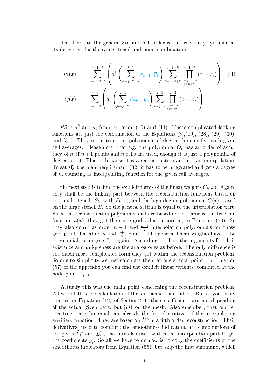This leads to the general 3rd and 5th order reconstruction polynomial as its derivative for the same stencil and point combination:

$$
P_k(x) = \sum_{i=j-2+k}^{j+1+k} \left( a_i^k \left( \sum_{h=j-2+k}^{i-1} d_{h+1,h} \overline{y}_h \right) \sum_{t=j-2+k}^{j+1+k} \prod_{\substack{s=j-2+k \\ s \neq i; s \neq t}}^{j+1+k} (x - x_s) \right), (34)
$$
  

$$
Q(x) = \sum_{i=j-2}^{j+3} \left( a_i^k \left( \sum_{h=j-2}^{i-1} d_{h+1,h} \overline{y}_h \right) \sum_{t=j-2}^{j+3} \prod_{\substack{s=j-2 \\ s \neq i; s \neq t}}^{j+3} (x - x_s) \right).
$$

With  $a_i^k$  and  $a_i$  from Equation (10) and (11). These complicated looking functions are just the combination of the Equations  $(3),(10), (28), (29), (30),$ and  $(31)$ . They reconstruct the polynomial of degree three or five with given cell averages. Please note, that e.g. the polynomial  $Q_k$  has an order of accuracy of n, if  $n+1$  points and n cells are used, though it is just a polynomial of degree  $n-1$ . This is, because it is a reconstruction and not an interpolation. To satisfy the main requirement (32) it has to be integrated and gets a degree of  $n$ , counting as interpolating function for the given cell averages.

the next step is to find the explicit forms of the linear weights  $C_k(x)$ . Again they shall be the linking part between the reconstruction functions based on the small stencils  $S_k$ , with  $P_k(x)$ , and the high degree polynomial  $Q(x)$ , based on the large stencil S. So the general setting is equal to the interpolation part. Since the reconstruction polynomials all are based on the same reconstruction function  $u(x)$ , they got the same grid values according to Equation (30). So they also count as order  $n-1$  and  $\frac{n-1}{2}$  interpolation polynomials for those grid points based on n and  $\frac{n+1}{2}$  points. The general linear weights have to be polynomials of degree  $\frac{n-1}{2}$  again. According to that, the arguments for their existence and uniqueness are the analog ones as before. The only difference is the much more complicated form they got within the reconstruction problem. So due to simplicity we just calculate them at one special point. In Equation  $(57)$  of the appendix you can find the explicit linear weights, computed at the node point  $x_{j+1}$ .

Actually this was the main point concerning the reconstruction problem. All work left is the calculation of the smoothness indicators. But as you easily can see in Equation  $(12)$  of Section 2.1, their coefficients are not depending of the actual given data, but just on the mesh. Also emember, that our reconstruction polynomials are already the first derivatives of the interpolating auxiliary function. They are based on  $\dot{L}^m_i$  in a fifth order reconstruction. Their derivatives, used to compute the smoothness indicators, are combinations of the given  $\ddot{L}_i^m$  and  $\ddot{L}_i^m$  $i<sup>m</sup>$ , that are also used within the interpolation part to get the coefficients  $g_i^j$  $e_i^j$ . So all we have to do now is to copy the coefficients of the smoothness indicators from Equation (55), but skip the first summand, which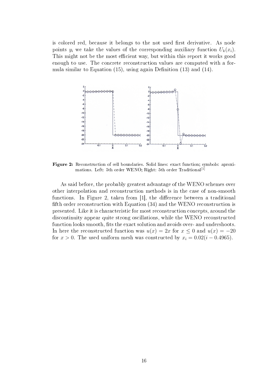is colored red, because it belongs to the not used first derivative. As node points  $y_i$  we take the values of the corresponding auxiliary function  $U_k(x_i)$ . This might not be the most efficient way, but within this report it works good enough to use. The concrete reconstruction values are computed with a formula similar to Equation  $(15)$ , using again Definition  $(13)$  and  $(14)$ .



Figure 2: Reconstruction of cell boundaries. Solid lines: exact function; symbols: aproximations. Left: 5th order WENO; Right: 5th order Traditional<sup>[1]</sup>

As said before, the probably greatest advantage of the WENO schemes over other interpolation and reconstruction methods is in the case of non-smooth functions. In Figure 2, taken from  $[1]$ , the difference between a traditional fifth order reconstruction with Equation (34) and the WENO reconstruction is presented. Like it is characteristic for most reconstruction concepts, around the discontinuity appear quite strong oscillations, while the WENO reconstructed function looks smooth, fits the exact solution and avoids over- and undershoots. In here the reconstructed function was  $u(x) = 2x$  for  $x \le 0$  and  $u(x) = -20$ for  $x > 0$ . The used uniform mesh was constructed by  $x_i = 0.02(i - 0.4965)$ .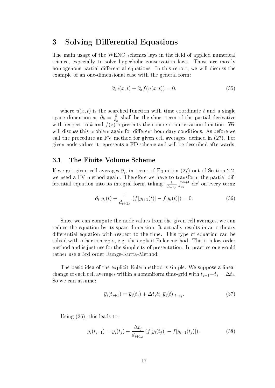## 3 Solving Differential Equations

The main usage of the WENO schemes lays in the field of applied numerical science, especially to solve hyperbolic conservation laws. Those are mostly homogenous partial differential equations. In this report, we will discuss the example of an one-dimensional case with the general form:

$$
\partial_t u(x,t) + \partial_x f(u(x,t)) = 0,\t(35)
$$

where  $u(x, t)$  is the searched function with time coordinate t and a single space dimension  $x, \partial_k = \frac{\partial}{\partial k}$  $\frac{\partial}{\partial k}$  shall be the short term of the partial derivative with respect to k and  $f(z)$  represents the concrete conservation function. We will discuss this problem again for different boundary conditions. As before we call the procedure an  $\overline{F}V$  method for given cell averages, defined in  $(27)$ . For given node values it represents a FD scheme and will be described afterwards.

#### 3.1 The Finite Volume Scheme

If we got given cell averages  $\overline{y}_i$ , in terms of Equation (27) out of Section 2.2, we need a FV method again. Therefore we have to transform the partial differential equation into its integral form, taking  $\frac{1}{d_{i+1,i}} \int_{x_i}^{x_{i+1}} dx'$  on every term:

$$
\partial_t \ \overline{y}_i(t) + \frac{1}{d_{i+1,i}} \left( f[y_{i+1}(t)] - f[y_i(t)] \right) = 0. \tag{36}
$$

Since we can compute the node values from the given cell averages, we can reduce the equation by its space dimension. It actually results in an ordinary differential equation with respect to the time. This type of equation can be solved with other concepts, e.g. the explicit Euler method. This is a low order method and is just use for the simplicity of presentation. In practice one would rather use a 3rd order Runge-Kutta-Method.

The basic idea of the explicit Euler method is simple. We suppose a linear change of each cell averages within a nonuniform time-grid with  $t_{j+1}-t_j = \Delta t_j$ . So we can assume:

$$
\overline{y}_i(t_{j+1}) = \overline{y}_i(t_j) + \Delta t_j \partial_t \ \overline{y}_i(t)|_{t=t_j}.
$$
\n(37)

Using (36), this leads to:

$$
\overline{y}_i(t_{j+1}) = \overline{y}_i(t_j) + \frac{\Delta t_j}{d_{i+1,i}} \left( f[y_i(t_j)] - f[y_{i+1}(t_j)] \right). \tag{38}
$$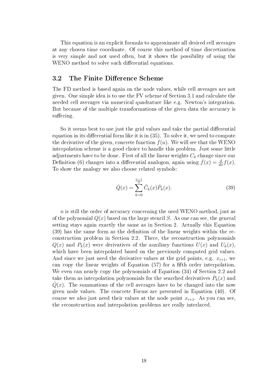This equation is an explicit formula to approximate all desired cell averages at any chosen time coordinate. Of course this method of time discretization is very simple and not used often, but it shows the possibility of using the WENO method to solve such differential equations.

#### 3.2 The Finite Difference Scheme

The FD method is based again on the node values, while cell averages are not given. One simple idea is to use the FV scheme of Section 3.1 and calculate the needed cell averages via numerical quadrature like e.g. Newton's integration. But because of the multiple transformations of the given data the accuracy is suffering.

So it seems best to use just the grid values and take the partial differential equation in its differential form like it is in  $(35)$ . To solve it, we need to compute the derivative of the given, concrete function  $f(u)$ . We will see that the WENO interpolation scheme is a good choice to handle this problem. Just some little adjustments have to be done. First of all the linear weights  $C_k$  change since our Definition (6) changes into a differential analogon, again using  $\dot{f}(x) = \frac{d}{dx} f(x)$ . To show the analogy we also choose related symbols:

$$
\dot{Q}(x) = \sum_{k=0}^{\frac{n-1}{2}} \tilde{C}_k(x) \dot{P}_k(x).
$$
\n(39)

 $n$  is still the order of accuracy concerning the used WENO method, just as of the polynomial  $Q(x)$  based on the large stencil S. As one can see, the general setting stays again exactly the same as in Section 2. Actually this Equation  $(39)$  has the same form as the definition of the linear weights within the reconstruction problem in Section 2.2. There, the reconstruction polynomials  $Q(x)$  and  $P_k(x)$  were derivatives of the auxiliary functions  $U(x)$  and  $U_k(x)$ . which have been interpolated based on the previously computed grid values. And since we just need the derivative values at the grid points, e.g.  $x_{i+1}$ , we can copy the linear weights of Equation  $(57)$  for a fifth order interpolation. We even can nearly copy the polynomials of Equation (34) of Section 2.2 and take them as interpolation polynomials for the searched derivatives  $\dot{P}_k(x)$  and  $Q(x)$ . The summations of the cell averages have to be changed into the now given node values. The concrete Forms are presented in Equation (40). Of course we also just need their values at the node point  $x_{i+1}$ . As you can see, the reconstruction and interpolation problems are really interlaced.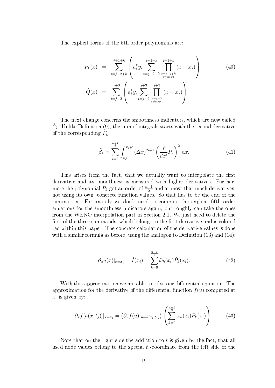The explicit forms of the 5th order polynomials are:

$$
\dot{P}_k(x) = \sum_{i=j-2+k}^{j+1+k} \left( a_i^k y_i \sum_{t=j-2+k}^{j+1+k} \prod_{\substack{s=j-2+k \ s \neq i; s \neq t}}^{j+1+k} (x - x_s) \right),
$$
\n
$$
\dot{Q}(x) = \sum_{i=j-2}^{j+3} \left( a_i^k y_i \sum_{t=j-2}^{j+3} \prod_{\substack{s=j-2 \ s \neq i; s \neq t}}^{j+3} (x - x_s) \right).
$$
\n(40)

The next change concerns the smoothness indicators, which are now called  $\tilde{\beta}_k$ . Unlike Definition (9), the sum of integrals starts with the second derivative of the corresponding  $P_k$ .

$$
\tilde{\beta}_k = \sum_{i=2}^{\frac{n+1}{2}} \int_{x_j}^{x_{j+1}} (\Delta x)^{2i+1} \left(\frac{d^i}{dx^i} P_k\right)^2 dx.
$$
 (41)

This arises from the fact, that we actually want to interpolate the first derivative and its smoothness is measured with higher derivatives. Furthermore the polynomial  $P_k$  got an order of  $\frac{n+1}{2}$  and at most that much derivatives, not using its own, concrete function values. So that has to be the end of the summation. Fortunately we don't need to compute the explicit fth order equations for the smoothness indicators again, but roughly can take the ones from the WENO interpolation part in Section 2.1. We just need to delete the first of the three summands, which belongs to the first derivative and is colored red within this paper. The concrete calculation of the derivative values is done with a similar formula as before, using the analogon to Definition  $(13)$  and  $(14)$ :

$$
\partial_x u(x)|_{x=x_i} = \dot{I}(x_i) = \sum_{k=0}^{\frac{n-1}{2}} \tilde{\omega}_k(x_i) \dot{P}_k(x_i).
$$
 (42)

With this approximation we are able to solve our differential equation. The approximation for the derivative of the differential function  $f(u)$  computed at  $x_i$  is given by:

$$
\partial_x f[u(x, t_j)]|_{x=x_i} = (\partial_u f(u)|_{u=u(x_i, t_j)}) \left( \sum_{k=0}^{\frac{n-1}{2}} \tilde{\omega}_k(x_i) \dot{P}_k(x_i) \right). \tag{43}
$$

Note that on the right side the addiction to  $t$  is given by the fact, that all used node values belong to the special  $t_i$ -coordinate from the left side of the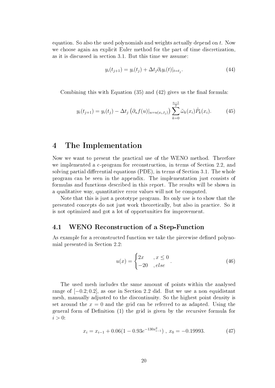equation. So also the used polynomials and weights actually depend on t. Now we choose again an explicit Euler method for the part of time discretization, as it is discussed in section 3.1. But this time we assume:

$$
y_i(t_{j+1}) = y_i(t_j) + \Delta t_j \partial_t y_i(t)|_{t=t_j}.\tag{44}
$$

Combining this with Equation  $(35)$  and  $(42)$  gives us the final formula:

$$
y_i(t_{j+1}) = y_i(t_j) - \Delta t_j \left( \partial_u f(u) \vert_{u=u(x_i,t_j)} \right) \sum_{k=0}^{\frac{n-1}{2}} \tilde{\omega}_k(x_i) \dot{P}_k(x_i). \tag{45}
$$

## 4 The Implementation

Now we want to present the practical use of the WENO method. Therefore we implemented a c-program for reconstruction, in terms of Section 2.2, and solving partial differential equations  $(PDE)$ , in terms of Section 3.1. The whole program can be seen in the appendix. The implementation just consists of formulas and functions described in this report. The results will be shown in a qualitative way, quantitative error values will not be computed.

Note that this is just a prototype program. Its only use is to show that the presented concepts do not just work theoretically, but also in practice. So it is not optimized and got a lot of opportunities for improvement.

#### 4.1 WENO Reconstruction of a Step-Function

As example for a reconstructed function we take the piecewise defined polynomial presented in Section 2.2:

$$
u(x) = \begin{cases} 2x & , x \le 0 \\ -20 & , else \end{cases}.
$$
 (46)

The used mesh includes the same amount of points within the analysed range of [−0.2; 0.2], as one in Section 2.2 did. But we use a non equidistant mesh, manually adjusted to the discontinuity. So the highest point density is set around the  $x = 0$  and the grid can be referred to as adapted. Using the general form of Definition  $(1)$  the grid is given by the recursive formula for  $i > 0$ :

$$
x_i = x_{i-1} + 0.06(1 - 0.93e^{-130x_{i-1}^2}), x_0 = -0.19993.
$$
 (47)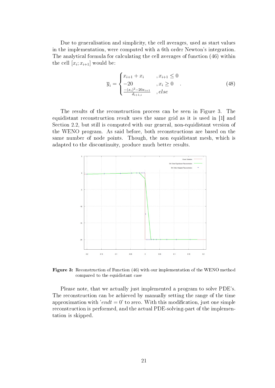Due to generalisation and simplicity, the cell averages, used as start values in the implementation, were computed with a 6th order Newton's integration. The analytical formula for calculating the cell averages of function (46) within the cell  $[x_i; x_{i+1}]$  would be:

$$
\overline{y}_{i} = \begin{cases}\nx_{i+1} + x_{i} & , x_{i+1} \leq 0 \\
-20 & , x_{i} \geq 0 \\
\frac{-(x_{i})^{2} - 20x_{i+1}}{d_{i+1,i}} & , else\n\end{cases}
$$
\n(48)

The results of the reconstruction process can be seen in Figure 3. The equidistant reconstruction result uses the same grid as it is used in [1] and Section 2.2, but still is computed with our general, non-equidistant version of the WENO program. As said before, both reconstructions are based on the same number of node points. Though, the non equidistant mesh, which is adapted to the discontinuity, produce much better results.



Figure 3: Reconstruction of Function (46) with our implementation of the WENO method compared to the equidistant case

Please note, that we actually just implemented a program to solve PDE's. The reconstruction can be achieved by manually setting the range of the time approximation with 'endt = 0' to zero. With this modification, just one simple reconstruction is performed, and the actual PDE-solving-part of the implementation is skipped.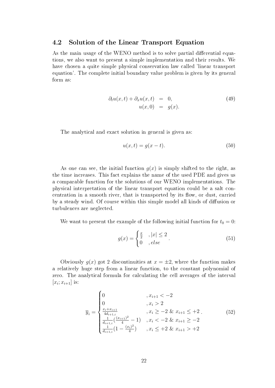#### 4.2 Solution of the Linear Transport Equation

As the main usage of the WENO method is to solve partial differential equations, we also want to present a simple implementation and their results. We have chosen a quite simple physical conservation law called 'linear transport equation'. The complete initial boundary value problem is given by its general form as:

$$
\partial_t u(x,t) + \partial_x u(x,t) = 0,
$$
  
\n
$$
u(x,0) = g(x).
$$
\n(49)

The analytical and exact solution in general is given as:

$$
u(x,t) = g(x-t). \tag{50}
$$

As one can see, the initial function  $g(x)$  is simply shifted to the right, as the time increases. This fact explains the name of the used PDE and gives us a comparable function for the solutions of our WENO implementations. The physical interpretation of the linear transport equation could be a salt concentration in a smooth river, that is transported by its flow, or dust, carried by a steady wind. Of course within this simple model all kinds of diffusion or turbulences are neglected.

We want to present the example of the following initial function for  $t_0 = 0$ :

$$
g(x) = \begin{cases} \frac{x}{2} & , |x| \le 2 \\ 0 & , else \end{cases}.
$$
 (51)

Obviously  $g(x)$  got 2 discontinuities at  $x = \pm 2$ , where the function makes a relatively huge step from a linear function, to the constant polynomial of zero. The analytical formula for calculating the cell averages of the interval  $[x_i; x_{i+1}]$  is:

$$
\overline{y}_{i} = \begin{cases}\n0 & , x_{i+1} < -2 \\
0 & , x_{i} > 2 \\
\frac{x_{i} + x_{i+1}}{4d_{i+1,i}} & , x_{i} \ge -2 \& x_{i+1} \le +2 \\
\frac{1}{d_{i+1,i}} (\frac{(x_{i+1})^{2}}{4} - 1) & , x_{i} < -2 \& x_{i+1} \ge -2 \\
\frac{1}{d_{i+1,i}} (1 - \frac{(x_{i})^{2}}{4}) & , x_{i} \le +2 \& x_{i+1} > +2\n\end{cases}
$$
\n(52)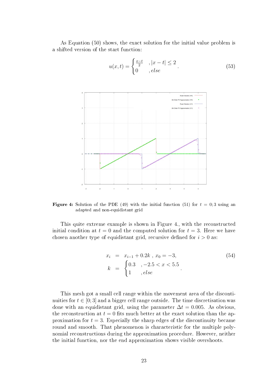As Equation (50) shows, the exact solution for the initial value problem is a shifted version of the start function:



$$
u(x,t) = \begin{cases} \frac{x-t}{2} & , |x-t| \le 2 \\ 0 & , else \end{cases} \tag{53}
$$

**Figure 4:** Solution of the PDE (49) with the initial function (51) for  $t = 0.3$  using an adapted and non-equidistant grid

This quite extreme example is shown in Figure 4., with the reconstructed initial condition at  $t = 0$  and the computed solution for  $t = 3$ . Here we have chosen another type of equidistant grid, recursive defined for  $i > 0$  as:

$$
x_i = x_{i-1} + 0.2k, x_0 = -3,
$$
  
\n
$$
k = \begin{cases} 0.3, -2.5 < x < 5.5 \\ 1, else \end{cases}
$$
 (54)

This mesh got a small cell range within the movement area of the discontinuities for  $t \in [0, 3]$  and a bigger cell range outside. The time discretisation was done with an equidistant grid, using the parameter  $\Delta t = 0.005$ . As obvious, the reconstruction at  $t = 0$  fits much better at the exact solution than the approximation for  $t = 3$ . Especially the sharp edges of the discontinuity became round and smooth. That phenomenon is characteristic for the multiple polynomial reconstructions during the approximation procedure. However, neither the initial function, nor the end approximation shows visible overshoots.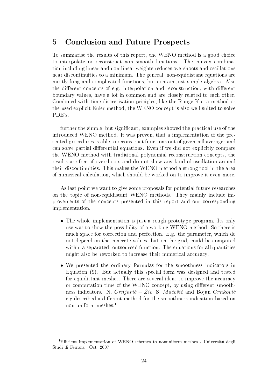## 5 Conclusion and Future Prospects

To summarise the results of this report, the WENO method is a good choice to interpolate or reconstruct non smooth functions. The convex combination including linear and non-linear weights reduces overshoots and oscillations near discontinuities to a minimum. The general, non-equidistant equations are mostly long and complicated functions, but contain just simple algebra. Also the different concepts of e.g. interpolation and reconstruction, with different boundary values, have a lot in common and are closely related to each other. Combined with time discretisation priciples, like the Runge-Kutta method or the used explicit Euler method, the WENO concept is also well-suited to solve PDE's.

further the simple, but significant, examples showed the practical use of the introduced WENO method. It was proven, that a implementation of the presented procedures is able to reconstruct functions out of given cell averages and can solve partial differential equations. Even if we did not explicitly compare the WENO method with traditional polynomial reconstruction concepts, the results are free of overshoots and do not show any kind of oscillation around their discontinuities. This makes the WENO method a strong tool in the area of numerical calculation, which should be worked on to improve it even more.

As last point we want to give some proposals for potential future researches on the topic of non-equidistant WENO methods. They mainly include improvements of the concepts presented in this report and our corresponding implementation.

- The whole implementation is just a rough prototype program. Its only use was to show the possibility of a working WENO method. So there is much space for correction and perfection. E.g. the parameter, which do not depend on the concrete values, but on the grid, could be computed within a separated, outsourced function. The equations for all quantities might also be reworked to increase their numerical accuracy.
- We presented the ordinary formulas for the smoothness indicators in Equation (9). But actually this special form was designed and tested for equidistant meshes. There are several ideas to improve the accuracy or computation time of the WENO concept, by using different smoothness indicators. N.  $\check{C}rnjari\acute{c} - \check{Z}ic$ , S. Maćešić and Bojan Crnković e.g.described a different method for the smoothness indication based on non-uniform meshes.<sup>1</sup>

<sup>&</sup>lt;sup>1</sup>Efficient implementation of WENO schemes to nonuniform meshes - Università degli Studi di Ferrara - Oct. 2007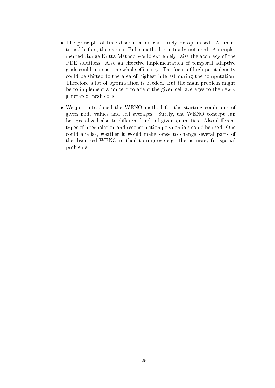- The principle of time discretisation can surely be optimised. As mentioned before, the explicit Euler method is actually not used. An implemented Runge-Kutta-Method would extremely raise the accuracy of the PDE solutions. Also an effective implementation of temporal adaptive grids could increase the whole efficiency. The focus of high point density could be shifted to the area of highest interest during the computation. Therefore a lot of optimisation is needed. But the main problem might be to implement a concept to adapt the given cell averages to the newly generated mesh cells.
- We just introduced the WENO method for the starting conditions of given node values and cell averages. Surely, the WENO concept can be specialized also to different kinds of given quantities. Also different types of interpolation and reconstruction polynomials could be used. One could analise, weather it would make sense to change several parts of the discussed WENO method to improve e.g. the accuracy for special problems.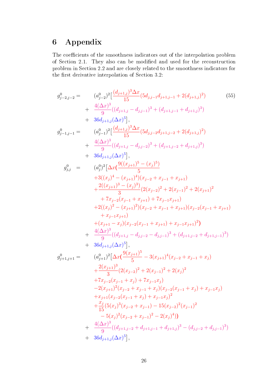# 6 Appendix

The coefficients of the smoothness indicators out of the interpolation problem of Section 2.1. They also can be modified and used for the reconstruction problem in Section 2.2 and are closely related to the smoothness indicators for the first derivative interpolation of Section 3.2:

$$
g_{j-2,j-2}^{0} = (a_{j-2}^{0})^{2} \left[ \frac{(d_{j+1,j})^{3} \Delta x}{15} (5d_{j,j-1}d_{j+1,j-1} + 2(d_{j+1,j})^{2}) \right]
$$
\n
$$
+ \frac{4(\Delta x)^{3}}{9} ((d_{j+1,j} - d_{j,j-1})^{3} + (d_{j+1,j-1} + d_{j+1,j})^{3})
$$
\n
$$
+ 36d_{j+1,j}(\Delta x)^{5} \right],
$$
\n
$$
g_{j-1,j-1}^{0} = (a_{j-1}^{0})^{2} \left[ \frac{(d_{j+1,j})^{3} \Delta x}{15} (5d_{j,j-2}d_{j+1,j-2} + 2(d_{j+1,j})^{2}) + \frac{4(\Delta x)^{3}}{9} ((d_{j+1,j} - d_{j,j-2})^{3} + (d_{j+1,j-2} + d_{j+1,j})^{3}) + 36d_{j+1,j}(\Delta x)^{5} \right],
$$
\n
$$
g_{j,j}^{0} = (a_{j}^{0})^{2} \left[ \Delta x \left( \frac{9((x_{j+1})^{5} - (x_{j})^{5})}{5} \right) + 3((x_{j})^{4} - (x_{j+1})^{4})(x_{j-2} + x_{j-1} + x_{j+1}) + \frac{2((x_{j+1})^{4} - (x_{j+1})^{4})(x_{j-2} + x_{j-1} + x_{j+1})}{3} + \frac{2((x_{j})^{2} - (x_{j+1})^{2})(x_{j-2} + x_{j-1} + x_{j+1})}{3} + \frac{2(x_{j})^{2} - (x_{j+1})^{2}(x_{j-2} + x_{j-1} + x_{j+1})(x_{j-2}(x_{j-1} + x_{j+1}) + (x_{j-1}x_{j+1}) + (x_{j+1} - x_{j})(x_{j-2}(x_{j-1} + x_{j+1}) + x_{j-1}x_{j+1})^{2}) + \frac{4(\Delta x)^{3}}{9} ((d_{j+1,j} - d_{j,j-2} - d_{j,j-1})^{3} + (d_{j+1,j-2} + d_{j+1,j-1})^{3}) + 36d_{j+1,j}(\Delta x)^{5
$$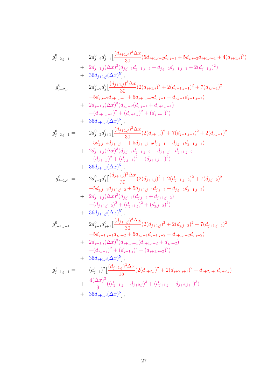$$
\begin{array}{llll} g_{j-2,j-1}^0=&2a_{j-2}^0a_{j-1}^0\Big[\frac{(d_{j+1,j})^3\Delta x}{30}(5d_{j+1,j-2}d_{j,j-1}+5d_{j,j-2}d_{j+1,j-1}+4(d_{j+1,j})^2)\\&+2d_{j+1,j}(\Delta x)^3(d_{j,j-1}d_{j+1,j-2}+d_{j,j-2}d_{j+1,j-1}+2(d_{j+1,j})^2)\\&+36d_{j+1,j}(\Delta x)^5],\\ g_{j-2,j}^0=&2a_{j-2}^0a_j^0\Big[\frac{(d_{j+1,j})^3\Delta x}{30}(2(d_{j+1,j})^2+2(d_{j+1,j-1})^2+7(d_{j,j-1})^2\\&+5d_{j,j-2}d_{j+1,j-1}+5d_{j+1,j-2}d_{j,j-1}+d_{j,j-1}d_{j+1,j-1})\\&+(d_{j+1,j}(\Delta x)^3(d_{j,j-2}(d_{j,j-1}+d_{j+1,j-1})\\&+(d_{j+1,j}(\Delta x)^5],\\ g_{j-2,j+1}^0=&2a_{j-2}^0a_{j+1}^0\Big[\frac{(d_{j+1,j})^3\Delta x}{30}(2(d_{j+1,j})^2+7(d_{j+1,j-1})^2+2(d_{j,j-1})^2\\&+36d_{j+1,j}(\Delta x)^5\Big],\\ g_{j-2,j+1}^0=&2a_{j-2}^0a_{j+1}^0\Big[\frac{(d_{j+1,j})^3\Delta x}{30}(2(d_{j+1,j})^2+7(d_{j+1,j-1})^2\\&+2d_{j+1,j}(\Delta x)^3(d_{j,j-1}d_{j+1,j-2}+d_{j+1,j-1}d_{j+1,j-2})\\&+36d_{j+1,j}(\Delta x)^5\Big],\\ g_{j-1,j}^0=&2a_{j-1}^0a_j^0\Big[\frac{(d_{j+1,j})^3\Delta x}{30}(2(d_{j+1,j})^2+2(d_{j+1,j-2})^2+7(d_{j,j-2})^2\\&+3d_{j,j-1}d_{j+1,j-2}+5d_{j+1,j-1}d_{j-2}+d_{j+1,j-2})\\&+2d_{j+1,j}
$$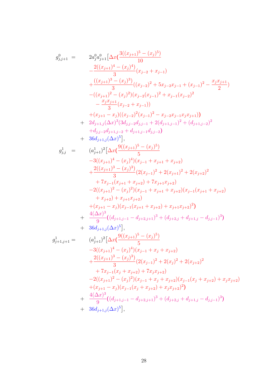$$
\begin{array}{ll}g_{j,j+1}^{0} & = & 2a_{j}^{0}a_{j+1}^{0}[ \Delta x (\frac{3((x_{j+1})^{5}-(x_{j})^{5})}{10}\\& & -\frac{2((x_{j+1})^{4}-(x_{j})^{4})}{3}(x_{j-2}+x_{j-1})\\& & +\frac{((x_{j+1})^{3}-(x_{j})^{3})}{3}((x_{j-2})^{2}+5x_{j-2}x_{j-1}+(x_{j-1})^{2}-\frac{x_{j}x_{j+1}}{2})\\& & -((x_{j+1})^{2}-(x_{j})^{2})(x_{j-2}(x_{j-1})^{2}+x_{j-1}(x_{j-2})^{2}\\& & -\frac{x_{j}x_{j+1}}{3}(x_{j-2}+x_{j-1}))\\& & + (x_{j+1}-x_{j})((x_{j-2})^{2}(x_{j-1})^{2}-x_{j-2}x_{j-1}x_{j}x_{j+1}))\\& +2d_{j+1,j}(\Delta x)^{3}(3d_{j,j-2}d_{j,j-1}+2(d_{j+1,j-1})^{2}+(d_{j+1,j-2})^{2}\\& & +d_{j,j-2}d_{j+1,j-2}+d_{j+1,j-1}d_{j,j-2})\\& & +36d_{j+1,j}(\Delta x)^{5}],\\ g_{j,j}^{1} & = & (a_{j+1}^{1})^{2}\big[\Delta x (\frac{9((x_{j+1})^{5}-(x_{j})^{5})}{5}\\& & -3((x_{j+1})^{4}-(x_{j})^{4})(x_{j-1}+x_{j+1}+x_{j+2})\\& & +\frac{2((x_{j+1})^{2}-(x_{j})^{3})}{3}(2(x_{j-1})^{2}+2(x_{j+1})^{2}+2(x_{j+2})^{2}\\& & +7x_{j-1}(x_{j+1}+x_{j+2})+7x_{j+1}x_{j+2})\\& & +x_{j+2}+(x_{j+1}-x_{j})\big(x_{j-1}^{0}+(x_{j+1}+x_{j+2})(x_{j-1}(x_{j+1}+x_{j+2})\\& & +x_{j+2}+(x_{j+1}-x_{j})\big(x_{j-1}^{0}+(x_{j+1}+x_{j+2})\big)\\& & +\frac{4(\Delta x
$$

28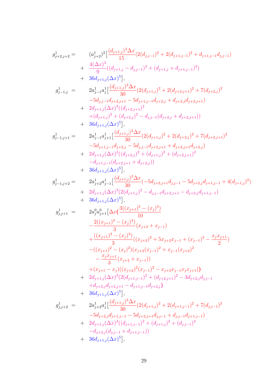$$
\begin{array}{llll} g_{j+2,j+2}^{1} & (a_{j+2}^{1})^{2}\left(\frac{(d_{j+1,j})^{3}\Delta x}{15}(2(d_{j,j-1})^{2}+2(d_{j+1,j-1})^{2}+d_{j+1,j-1}d_{j,j-1}) \\ & + \frac{4(\Delta x)^{3}}{9}((d_{j+1,j}-d_{j,j-1})^{3}+(d_{j+1,j}+d_{j+1,j-1})^{3}) \\ & + 36d_{j+1,j}(\Delta x)^{5}\big],\\ g_{j-1,j}^{1} & = & 2a_{j-1}^{1}a_{j}^{1}\left[\frac{(d_{j+1,j})^{3}\Delta x}{30}(2(d_{j+1,j})^{2}+2(d_{j+2,j+1})^{2}+7(d_{j+2,j})^{2} \\ & & -5d_{j,j-1}d_{j+2,j+1}-5d_{j+1,j-1}d_{j+2,j}+d_{j+2,j}d_{j+2,j+1}) \\ & + 2d_{j+1,j}(\Delta x)^{3}((d_{j+2,j+1})^{2} \\ & & + (d_{j+1,j})^{2}+(d_{j+2,j})^{2}-d_{j,j-1}(d_{j+2,j}+d_{j+2,j+1})) \\ & + 36d_{j+1,j}(\Delta x)^{5}\big],\\ g_{j-1,j+1}^{1} & = & 2a_{j-1}^{1}a_{j+1}^{1}\left[\frac{(d_{j+1,j})^{3}\Delta x}{30}(2(d_{j+1,j})^{2}+2(d_{j+2,j})^{2}+7(d_{j+2,j+1})^{2} \\ & & -5d_{j+1,j-1}d_{j+2,j}^{2}-(d_{j+2,j+1}+d_{j+2,j+1})^{2} \\ & & + 2d_{j+1,j}(\Delta x)^{3}((d_{j+2,j})^{2}+(d_{j+1,j})^{2}+ (d_{j+2,j+1})^{2} \\ & & -d_{j+1,j-1}(d_{j+2,j+1}+d_{j+2,j+1}) \\ & & + 36d_{j+1,j}(\Delta x)^{3}\big).\\ g_{j-1,j+2}^{1} & = & 2a_{j+2}^{1}a_{j-1}^{1}\left[\frac{(d_{j+1,j})^{3}\Delta x}{30}(-5d_{j+2,j+1}d_{j,j-1}-5d_{j+2,j}d_{j+1
$$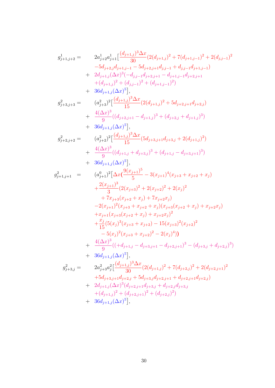$$
g_{j+1,j+2}^{1} = 2a_{j+2}^{1}a_{j+1}^{1}\left[\frac{(d_{j+1,j})^{3}\Delta x}{30}(2(d_{j+1,j})^{2} + 7(d_{j+1,j-1})^{2} + 2(d_{j,j-1})^{2}\right.\n-5d_{j+2,j}d_{j+1,j-1} - 5d_{j+2,j+1}d_{j,j-1} + d_{j,j-1}d_{j+1,j-1})\n+ 2d_{j+1,j}(\Delta x)^{3}(-d_{j,j-1}d_{j+2,j+1} - d_{j+1,j-1}d_{j+2,j+1})\n+ (d_{j+1,j})^{2} + (d_{j,j-1})^{2} + (d_{j+1,j-1})^{2})\n+ 36d_{j+1,j}(\Delta x)^{5}],
$$
\n
$$
g_{j+3,j+3}^{2} = (a_{j+3}^{2})^{2}\left[\frac{(d_{j+1,j})^{3}\Delta x}{15}(2(d_{j+1,j})^{2} + 5d_{j+2,j+1}d_{j+2,j}) + \frac{4(\Delta x)^{3}}{9}((d_{j+2,j+1} - d_{j+1,j})^{3} + (d_{j+2,j} + d_{j+1,j})^{3})\right.\n+ 36d_{j+1,j}(\Delta x)^{5}],
$$
\n
$$
g_{j+2,j+2}^{2} = (a_{j+2}^{2})^{2}\left[\frac{(d_{j+1,j})^{3}\Delta x}{15}(5d_{j+3,j+1}d_{j+3,j} + 2(d_{j+1,j})^{2}) + \frac{4(\Delta x)^{3}}{9}((d_{j+1,j} + d_{j+3,j})^{3} + (d_{j+1,j} - d_{j+3,j+1})^{3})\right.\n+ 36d_{j+1,j}(\Delta x)^{5}],
$$
\n
$$
g_{j+1,j+1}^{2} = (a_{j+1}^{0})^{2}\left[\Delta x(\frac{9(x_{j+1})^{5}}{5} - 3(x_{j+1})^{4}(x_{j+3} + x_{j+2} + x_{j}) + \frac{2(x_{j+1})^{3}}{3}(2(x_{j+3})^{2} + 2(x_{j+2})^{2} + 2(x_{j})^{2} + 2(x_{j+1})^{2}(x_{j+2} + x
$$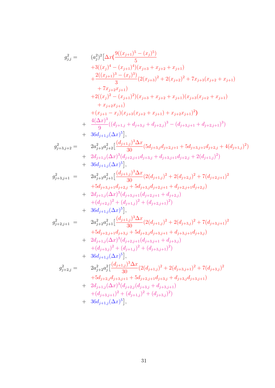$$
\begin{array}{llll} g_{j,j}^2=&\qquad (a_j^2)^2\big[\Delta x(\frac{9((x_{j+1})^5-(x_j)^5)}{5}\\&+3((x_j)^4-(x_{j+1})^4)(x_{j+3}+x_{j+2}+x_{j+1})\\&+\frac{2((x_{j+1})^3-(x_j)^3)}{3}(2(x_{j+3})^2+2(x_{j+2})^2+7x_{j+3}(x_{j+2}+x_{j+1})\\&+7x_{j+2}x_{j+1})\\&+2((x_j)^2-(x_{j+1})^2)(x_{j+3}+x_{j+2}+x_{j+1})(x_{j+3}(x_{j+2}+x_{j+1})\\&+x_{j+2}x_{j+1})\\&+\frac{4(\Delta x)^3}{9}((d_{j+1,j}+d_{j+3,j}+d_{j+2,j})^3-(d_{j+3,j+1}+d_{j+2,j+1})^3)\\&+36d_{j+1,j}(\Delta x)^5\big],\\ g_{j+3,j+2}^2=&\qquad 2a_{j+3}^2a_{j+2}^2\big[\frac{(d_{j+1,j})^3\Delta x}{30}(5d_{j+3,j}d_{j+2,j+1}+5d_{j+3,j+1}d_{j+2,j}+4(d_{j+1,j})^2)\\&+2d_{j+1,j}(\Delta x)^5\big],\\ g_{j+3,j+1}^2=&\qquad 2a_{j+3}^2a_{j+1}^2\big[\frac{(d_{j+1,j})^3\Delta x}{30}(2(d_{j+1,j})^2+2(d_{j+2,j})^2+7(d_{j+2,j+1})^2\\&+36d_{j+1,j}(\Delta x)^5\big],\\ g_{j+3,j+1}^2=&\qquad 2a_{j+3}^2a_{j+1}^2\big[\frac{(d_{j+1,j})^3\Delta x}{30}(2(d_{j+1,j})^2+2(d_{j+2,j})^2+7(d_{j+2,j+1})^2\\&+3d_{j+1,j}(\Delta x)^3(d_{j+2,j+1}+d_{j+2,j})\\&+(d_{j+2,j})^2+(d_{j+1,j})^2\big)\\&+36d_{j+1,j}(\Delta x)^3(d_{j+3,j+1}(d_{j+2,j+1})^2)\\&+36d_{j+1,j}(\Delta x)^5\
$$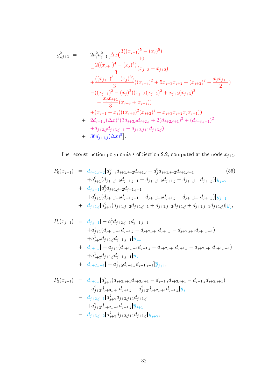$$
g_{j,j+1}^{2} = 2a_{j}^{2}a_{j+1}^{2} \left[ \Delta x \left( \frac{3((x_{j+1})^{5} - (x_{j})^{5})}{10} \right) \right.\n- \frac{2((x_{j+1})^{4} - (x_{j})^{4})}{3}(x_{j+3} + x_{j+2})\n+ \frac{((x_{j+1})^{3} - (x_{j})^{3})}{3}((x_{j+3})^{2} + 5x_{j+3}x_{j+2} + (x_{j+2})^{2} - \frac{x_{j}x_{j+1}}{2})\n- ((x_{j+1})^{2} - (x_{j})^{2})(x_{j+3}(x_{j+2})^{2} + x_{j+2}(x_{j+3})^{2})\n- \frac{x_{j}x_{j+1}}{3}(x_{j+3} + x_{j+2}))\n+ (x_{j+1} - x_{j})((x_{j+3})^{2}(x_{j+2})^{2} - x_{j+3}x_{j+2}x_{j}x_{j+1}))\n+ 2d_{j+1,j}(\Delta x)^{3}(3d_{j+3,j}d_{j+2,j} + 2(d_{j+2,j+1})^{2} + (d_{j+3,j+1})^{2}\n+ d_{j+3,j}d_{j+3,j+1} + d_{j+2,j+1}d_{j+3,j})\n+ 36d_{j+1,j}(\Delta x)^{5}.
$$

The reconstruction polynomials of Section 2.2, computed at the node  $x_{j+1}$ :

$$
P_0(x_{j+1}) = d_{j-1,j-2}[a_{j-1}^0 d_{j+1,j-2} d_{j+1,j} + a_j^0 d_{j+1,j-2} d_{j+1,j-1} \t\t(56)
$$
  
\n
$$
+ a_{j+1}^0 (d_{j+1,j-2} d_{j+1,j-1} + d_{j+1,j-2} d_{j+1,j} + d_{j+1,j-1} d_{j+1,j})] \overline{y}_{j-2}
$$
  
\n
$$
+ d_{j,j-1}[a_j^0 d_{j+1,j-2} d_{j+1,j-1} + d_{j+1,j-2} d_{j+1,j} + d_{j+1,j-1} d_{j+1,j})] \overline{y}_{j-1}
$$
  
\n
$$
+ d_{j+1,j}[a_{j+1}^0 d_{j+1,j-2} d_{j+1,j-1} + d_{j+1,j-2} d_{j+1,j} + d_{j+1,j-1} d_{j+1,j})] \overline{y}_j,
$$

$$
P_{1}(x_{j+1}) = d_{j,j-1}[-a_{j}^{1}d_{j+2,j+1}d_{j+1,j-1} + a_{j+1}^{1}(d_{j+1,j-1}d_{j+1,j} - d_{j+2,j+1}d_{j+1,j} - d_{j+2,j+1}d_{j+1,j-1}) + a_{j+2}^{1}d_{j+1,j}d_{j+1,j-1}]\overline{y}_{j-1} + d_{j+1,j}[-a_{j+1}^{1}(d_{j+1,j-1}d_{j+1,j} - d_{j+2,j+1}d_{j+1,j} - d_{j+2,j+1}d_{j+1,j-1}) + a_{j+2}^{1}d_{j+1,j}d_{j+1,j-1}]\overline{y}_{j} + d_{j+2,j+1}[-a_{j+2}^{1}d_{j+1,j}d_{j+1,j-1}]\overline{y}_{j+1},
$$

$$
P_2(x_{j+1}) = d_{j+1,j}[a_{j+1}^2(d_{j+2,j+1}d_{j+3,j+1} - d_{j+1,j}d_{j+3,j+1} - d_{j+1,j}d_{j+2,j+1})
$$
  
\n
$$
-a_{j+2}^2d_{j+3,j+1}d_{j+1,j} - a_{j+3}^2d_{j+2,j+1}d_{j+1,j}\overline{y}_j
$$
  
\n
$$
- d_{j+2,j+1}[a_{j+2}^2d_{j+3,j+1}d_{j+1,j}]
$$
  
\n
$$
+a_{j+3}^2d_{j+2,j+1}d_{j+1,j}\overline{y}_{j+1}
$$
  
\n
$$
- d_{j+3,j+2}[a_{j+3}^2d_{j+2,j+1}d_{j+1,j}]\overline{y}_{j+2},
$$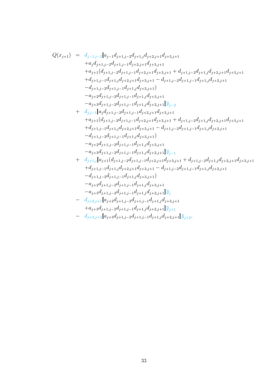$$
\begin{array}{lcl} Q(x_{j+1}) & = & d_{j-1,j-2}[a_{j-1}d_{j+1,j-2}d_{j+1,j}d_{j+2,j+1}d_{j+3,j+1} \\ & & + a_{j}d_{j+1,j-2}d_{j+1,j-1}d_{j+2,j+1}d_{j+3,j+1} \\ & & + a_{j+1}(d_{j+1,j-2}d_{j+1,j-1}d_{j+2,j+1}d_{j+3,j+1} + d_{j+1,j-2}d_{j+1,j}d_{j+2,j+1}d_{j+3,j+1} \\ & & + d_{j+1,j-1}d_{j+1,j}d_{j+2,j+1}d_{j+3,j+1} - d_{j+1,j-2}d_{j+1,j-1}d_{j+1,j}d_{j+2,j+1} \\ & & - d_{j+1,j-2}d_{j+1,j-1}d_{j+1,j}d_{j+3,j+1} \\ & & - a_{j+2}d_{j+1,j-2}d_{j+1,j-1}d_{j+1,j}d_{j+3,j+1} \\ & & - a_{j+3}d_{j+1,j-2}d_{j+1,j-1}d_{j+1,j}d_{j+2,j+1}d_{j-2} \\ & & + d_{j,j-1}[a_{j}d_{j+1,j-2}d_{j+1,j-1}d_{j+2,j+1}d_{j+3,j+1} + d_{j+1,j-2}d_{j+1,j}d_{j+2,j+1}d_{j+3,j+1} \\ & & + a_{j+1}(d_{j+1,j-2}d_{j+1,j-1}d_{j+2,j+1}d_{j+3,j+1} + d_{j+1,j-2}d_{j+1,j-1}d_{j+1,j}d_{j+2,j+1} \\ & & - d_{j+1,j-2}d_{j+1,j-1}d_{j+1,j}d_{j+3,j+1} \\ & & - a_{j+2}d_{j+1,j-2}d_{j+1,j-1}d_{j+1,j}d_{j+3,j+1} \\ & & - a_{j+3}d_{j+1,j-2}d_{j+1,j-1}d_{j+1,j}d_{j+2,j+1}d_{j+3,j+1} \\ & & - a_{j+3}d_{j+1,j-2}d_{j+1,j-1}d_{j+1,j}d_{j+2,j+1}d_{j+3,j+1} \\ & & + d_{j+
$$

$$
+a_{j+3}d_{j+1,j-2}d_{j+1,j-1}d_{j+1,j}d_{j+2,j+1}|\overline{y}_{j+1}|
$$

$$
- d_{j+3,j+2}[a_{j+3}d_{j+1,j-2}d_{j+1,j-1}d_{j+1,j}d_{j+2,j+1}]\overline{y}_{j+2}.
$$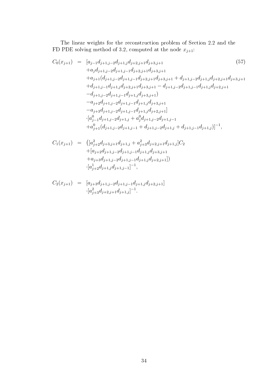The linear weights for the reconstruction problem of Section 2.2 and the FD PDE solving method of 3.2, computed at the node  $x_{j+1}$ :

$$
C_{0}(x_{j+1}) = [a_{j-1}d_{j+1,j-2}d_{j+1,j}d_{j+2,j+1}d_{j+3,j+1} + a_{j}d_{j+1,j-2}d_{j+1,j-1}d_{j+2,j+1}d_{j+3,j+1} + a_{j+1}(d_{j+1,j-2}d_{j+1,j-1}d_{j+2,j+1}d_{j+3,j+1} + d_{j+1,j-2}d_{j+1,j}d_{j+2,j+1}d_{j+3,j+1} + d_{j+1,j-1}d_{j+1,j}d_{j+2,j+1}d_{j+3,j+1} - d_{j+1,j-2}d_{j+1,j-1}d_{j+1,j}d_{j+2,j+1} - d_{j+1,j-2}d_{j+1,j-1}d_{j+1,j}d_{j+3,j+1} - a_{j+2}d_{j+1,j-2}d_{j+1,j-1}d_{j+1,j}d_{j+3,j+1} + a_{j+3}d_{j+1,j-2}d_{j+1,j-1}d_{j+1,j}d_{j+2,j+1}] \cdot [a_{j-1}^{0}d_{j+1,j-2}d_{j+1,j} + a_{j}^{0}d_{j+1,j-2}d_{j+1,j-1} + d_{j+1,j-2}d_{j+1,j-1} + d_{j+1,j-2}d_{j+1,j-1} + d_{j+1,j-1}d_{j+1,j-1}]^{-1},
$$

$$
C_1(x_{j+1}) = \left( [a_{j+2}^2 d_{j+3,j+1} d_{j+1,j} + a_{j+3}^2 d_{j+2,j+1} d_{j+1,j} \right] C_2 + [a_{j+2} d_{j+1,j-2} d_{j+1,j-1} d_{j+1,j} d_{j+3,j+1} + a_{j+3} d_{j+1,j-2} d_{j+1,j-1} d_{j+1,j} d_{j+2,j+1}] \right)
$$
  
 
$$
\cdot [a_{j+2}^1 d_{j+1,j} d_{j+1,j-1}]^{-1},
$$

$$
C_2(x_{j+1}) = [a_{j+3}d_{j+1,j-2}d_{j+1,j-1}d_{j+1,j}d_{j+2,j+1}]
$$
  

$$
\cdot [a_{j+3}^2d_{j+2,j+1}d_{j+1,j}]^{-1}.
$$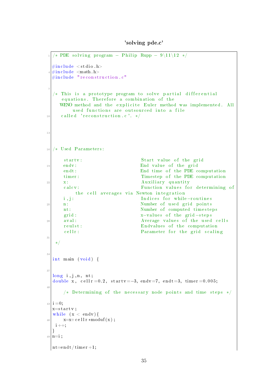'solving pde.c'

```
/* PDE solving program – Philip Rupp – 9\11\12 */
  \#include <stdio.h>
  \#include <math.h>
  \# \texttt{include} " \texttt{reconstruction} . \texttt{c}"
7
  /* This is a prototype program to solve partial differential
     equations. Therefore a combination of the
     WENO method and the explicite Euler method was implemented. All
         used functions are outsourced into a file
\begin{array}{c|c} \text{10} & \text{called} & \text{reconstruction.c} \end{array}. */
13
16 /∗ Used Parameters :
      startv: Start value of the grid
19 endv: End value of the grid
      endt : End time of the PDE computation
      timer: Timestep of the PDE computation
\begin{array}{c|c} \text{22} & \text{x} : \end{array} A uxiliary quantity
      calc v : Function values for determining of
          the cell averages via Newton integration
      i, j: Indices for while−routines
25 n: Number of used grid points
      nt : Number of computed timesteps
      grid : x-values of the grid-steps
28 aval: aaval : average values of the used cells
      reulst: Endvalues of the computation
      cellr: Parameter for the grid scaling
31
   ∗/
34
  int main (void) {
37
  long\ i,j,n,nt;double x, cell r =0.2, start v = -3, end v = 7, endt = 3, time r = 0.005;
40
      /* Determining of the necessary node points and time steps */_{43} i = 0;
  x=s t a r t v ;
  while (x < endv) {
\begin{array}{c} 46 \mid x=x+c \text{ }e \text{ }l \text{ }l \text{ }r * \text{ } \text{mod} \text{ }u \text{ }f \text{ }(\text{x}) ; \end{array}i + +;
  }
_{49} n=i ;
 \ln t = endt / tim er +1;
```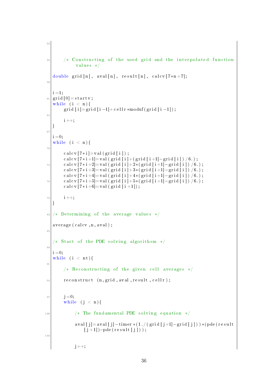```
52
 55 /* Constructing of the used grid and the interpolated function
                values */
   double grid [n], aval [n], result [n], calcv[7*n+7];
 58i = 1;
_{61} grid [0] = startv;
   while (i < n) {
         grid [i] = \text{grid} [i-1] + \text{cellr} * \text{moduf} (\text{grid} [i-1]);
64
         i + +;
    }
67
   i = 0:
   while (i < n) {
 70
         \text{calcv} [7 \ast i] = val (grid [i]);
         \text{calcv} [7*i+1]= val (grid [i]+(grid [i+1]-grid [i]) /6.);
 \begin{array}{cc} \text{realcv} \ [7 * i + 2] = \text{val} \ (\text{grid} \ [i] + 2 * (\text{grid} \ [i+1] - \text{grid} \ [i]) / 6.) \; ; \end{array}c al c v [7 * i +3] = v al (g rid [i] +3 * (grid[i+1] - grid[i]) / 6.);
         \text{calcv} [7*i+4]= val (grid [i]+4*(grid [i+1]-grid [i]) /6.);
 \begin{array}{cc} \text{realcv} \ [7 * i + 5] = \text{val} \ (\text{grid} \ [i] + 5 * (\text{grid} \ [i + 1] - \text{grid} \ [i]) / 6.) \ \end{array}c al c v [7 * i + 6] = v al (g r i d [i + 1]);
79 \mid i++;}
82 / * Determining of the average values */
   average (color, n, avail);85
    /* Start of the PDE solving algorithsm */88
   i = 0:
   while (i < nt) {
91
         /* Reconstructing of the given cell averages */
|94| reconstruct (n, grid, avail, result, cell r);97 j = 0;while (j < n) {
100 /* The fundamental PDE solving equation */
               aval [j] = \text{aval}[j] - \text{timer} * (1./(\text{grid}[j+1] - \text{grid}[j])) * (\text{pde}(\text{result}))[j+1])-pde(result[j]));
103
               j + +;
```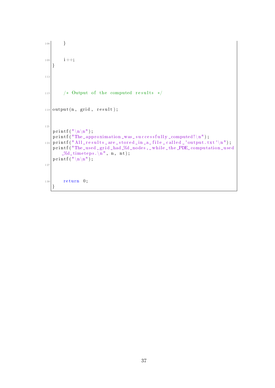```
106 }
109 i ++;
    }
112
115 /* Output of the computed results */_{118} output (n, \text{grid}, \text{result});
121
   printf (\sqrt[n]{n}\n\setminus n);
   printf ("The approximation _ was _ successfully _computed!\langle n'' \rangle;
_{124} printf ("All results are stored in a file called \cdot 'output . txt '\n");
   printf ("The_used_grid_had_%d_nodes,_while_the_PDE_computation_used
        \mathcal{A}d tim et eps \setminus n", n, nt);
   printf (\sqrt[m]{n}\sqrt{n^n};
127
130 return 0;
    }
```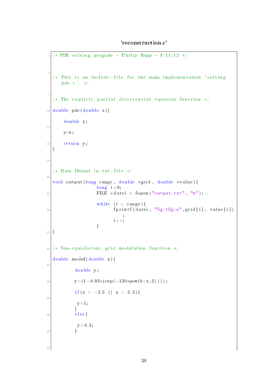#### 'reconstruction.c'

```
\sqrt{\frac{1}{2} \cdot \frac{1}{12}} * PDE solving program − Philip Rupp − 9\11\12 */
 4
  /* This is an include-file for the main implementation 'solving
      pde . c ' . ∗/
 7
  /* The explicit partial dirrerential equation function */_{10} double pde (double x) {
       double y;
13
       y=x;
16 return y;
  }
19
  /* Data Output in txt-file */
22
  void output (long range, double *grid, double *value) {
                     \ln g i =0;
25 FILE * \text{datei} = \text{fopen("output.txt", "w");while (i < range) {
\begin{array}{c|c|c|c} \text{28} & \text{fprintf (datei, "%g\t{%g\n}n", grid[i], value[i])} \end{array};
                            i + +;}
31}
34 /* Non-equidistant grid modulation function */
  double moduf (double x) {
37
            double y;
40 y = (1 - 0.93* (\exp(-130* \text{pow}(0+x, 2))) ;
            if (x < -2.5 | | x > 5.5 } {
43
            y=1;
            }
_{46} e l s e {
             y = 0.3;49 }
52
```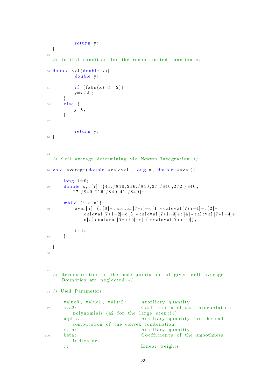```
return y;
   }
55
   '* Initial condition for the reconstructed function */
58 | d ouble val (double x) {
           double y;
61 if (f \, abs(x) \leq 2) {
           y=x / 2 .;
       }
64 else {
           y=0;}
67
           return y;
70 }
73
   /* Cell average determining via Newton Integration */
76 void average (double *calcval, long n, double *aval) {
       \ln g i =0;
\sigma_{79} double x, c [7] = {41. /840, 216. /840, 27. /840, 272. /840,
           27./840, 216./840, 41./840};while (i < n) {
82 aval [i] = (c [0] * c \, a \, c \, v \, a \, l \, [7 * i] + c \, [1] * c \, a \, c \, v \, a \, l \, [7 * i + 1] + c \, [2] *c a l c v a l [7 * i +2] + c [3] * c a l c v a l [7 * i +3] + c [4] * c a l c v a l [7 * i +4] +c [5] * caleval [7 * i + 5] + c [6] * caleval [7 * i + 6]);i + +;85 }
   }
88
91
   /* Reconstruction of the node points out of given cell averages −
      Boundries are neglected */94 /∗ Used Parameters :
       value0, value1, value2: Auxiliary quantity
97 a, a2: Coefficients of the interpolation
          polynomials (a2 for the large stencil)
       alpha: Auxiliary quantity for the end
          computation of the convex combination
       x, b: Auxiliary quantity
100 beta: Coefficients of the smoothness
          indicators
       c : Linear weights
```

```
39
```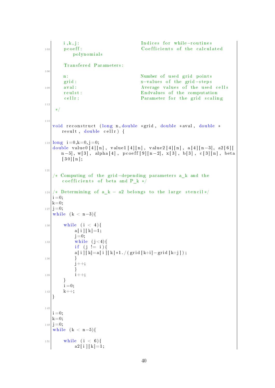i, k, j: Indices for while−routines 103 pcoeff: Coefficients of the calculated p ol y n omi al s Transfered Parameters: 106 n: Number of used grid points grid : x-values of the grid-steps 109 aval: <br>Average values of the used cells reulst: Endvalues of the computation cell r: Parameter for the grid scaling 112 ∗/ 115 void reconstruct (long n, double \*grid, double \*aval, double \* r e sult, double c ell r ) {  $_{118}$  l ong i = 0, k = 0, j = 0; double value0  $[4] [n]$ , value1  $[4] [n]$ , value2  $[4] [n]$ , a $[4] [n-3]$ , a2 $[6] [$ n−5], w[3], alpha[4], pcoeff [9][n−2], x[3], b[3], c[3][n], beta  $[30] [n];$ 121 /\* Computing of the grid-depending parameters a k and the co efficients of beta and P k  $*$ /  $124 \times$  Determining of a k – a2 belongs to the large stencil \*/  $i = 0$ ;  $k=0;$  $_{127}$  j =0; while  $(k < n-3)$ {  $_{130}$  while (i < 4) {  $a[i] [k] = 1;$  $j = 0;$  $\begin{array}{c|c}\n & \text{while} & (j < 4)\n\end{array}$ if  $(i := i)$  { a [ i ]  $\lfloor k \rfloor = a$  [ i ]  $\lfloor k \rfloor * 1$  . / ( g rid  $\lfloor k + i \rfloor - g$  rid  $\lfloor k + j \rfloor$  ); 136 }  $j$  + +; }  $139 \mid i++;$ }  $i = 0$ ;  $142$  k++; } 145  $i = 0$ ;  $k=0;$  $_{148}$  j =0; while  $(k < n-5)$ {  $_{151}$  while (i < 6) {  $a2$  [ i ] [ k ] = 1;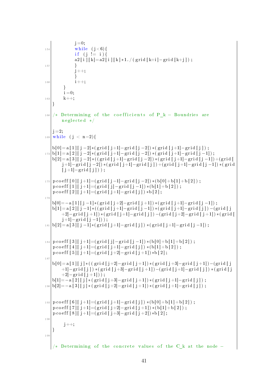```
j = 0;\text{while } (i < 6) {
              if (j \neq i)a2 [i][k]=a2[i][k]*1. / (grid [k+i]-grid[k+j]);
157 }
              j + +;}
160 i ++;
         }
         i = 0;
163 k++;
    }
166 /* Determining of the coefficients of P k – Boundries are
        n eglected ∗/
   j = 2;_{169} while (j < n-2){
   b[0] = a[1][j-2] * (grid[j+1]-grid[j-2]) * (grid[j+1]-grid[j]) ;_{172} b[1]= a [2][ j -2]*( g rid [ j +1]-g rid [ j -2]) *( g rid [ j +1]-g rid [ j -1]);
   b[2] = a[3][j-2] * ((grid[j+1]-grid[j-2]) * (grid[j+1]-grid[j-1]) + (grid[j-1]))j+1|−grid [j-2]) *(grid [j+1]−grid [j]) +(grid [j+1]−grid [j-1]) *(grid
        [j+1]-grid[j]);
175 pc o e f f [0][j+1] = (grid[j-1]-grid[j-2]) * (b[0]+b[1]+b[2]);
   p c o e f f [1] [j+1] = (grid [j] - grid [j-1]) * (b[1] + b[2]);
   p c o e f f [2][j+1] = (grid[j+1]-grid[j]) *b[2];178
   b[0] = -a [1] [j -1] * (grid [j +2] - grid [j +1]) * (grid [j +1] - grid [j -1]);b[1] = a[2][j-1] * ((grid[j+1]-grid[j-1]) * (grid[j+1]-grid[j]) - (grid[j])+2[-\text{grid} [ j+1] ) * (\text{grid} [ j+1] - \text{grid} [ j] ) - (\text{grid} [ j+2] - \text{grid} [ j+1] ) * (\text{grid} [ j+1] )j+1] – grid [j-1]);
_{181} b[2] = a [3] [ j -1]*( g rid [ j +1]-g rid [ j ] ) *( g rid [ j +1]-g rid [ j -1]);
_{184} p c o e f f [3][j+1] = (grid[j]-grid[j-1]) * (b[0]+b[1]+b[2]);
   p \, \text{coeff} \, [4] \, [j+1] = (\, \text{grid} \, [j+1] - \, \text{grid} \, [j] \,) * (b \, [1] + b \, [2] \,) ;p c o e f f [5][j+1]=(\text{grid}[j+2]-\text{grid}[j+1]) * b [2];
187
   b[0] = a[1][j] * ((grid[j+2]-grid[j+1]) * (grid[j+3]-grid[j+1])-(grid[j+3])+1]−grid [j]) *(grid [j+3]−grid [j+1])-(grid [j+1]−grid [j]) *(grid [j
        +2] – grid [j+1]);
   b[1]=-a[2][j] (grid [j+3]-grid [j+1]) *(grid [j+1]-grid [j]);
190 b[2]=−a [3] [ j ] * ( g rid [ j +2]−g rid [ j +1]) * ( g rid [ j +1]–g rid [ j ]);
193 | p c o e f f [6] [j+1] = (grid [j+1] - grid [j]) * (b[0] + b[1] + b[2]);
   p \, \text{coeff} \, [\,7\,]\, [\,j+1] = (\, \text{grid} \, [\,j+2] - \text{grid} \, [\,j+1] \,) * (\,b \, [\,1] + b \, [\,2\,]) \,\,;p c o e f f [8] [ j +1]=(g rid [ j +3]-g rid [ j +2]) * b [2];
196
         j + +;}
199
      Determining of the concrete values of the C k at the node -
```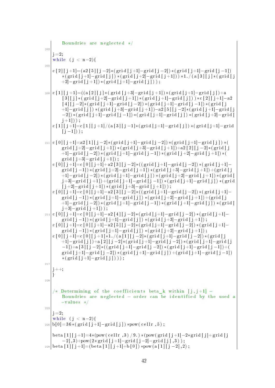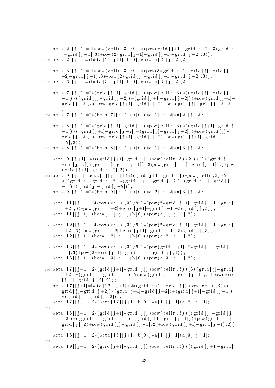| 232 | beta $[2][j+1] = (4 * pow(cellr, 3) / 9.) * (pow(grid[j+1] + grid[j-2] - 3 * grid[j$<br>$\vert + \text{grid} \, [\, j-1\,], 3 \rangle + \text{pow}(2 \cdot \text{grid} \, [\, j+1] - \text{grid} \, [\, j-1] - \text{grid} \, [\, j-2\,], 3) \, \big)$<br>beta $[2][j+1] = (beta [2][j+1]+b[0]) * pow(a [2][j-2], 2);$                                                                                                              |
|-----|-------------------------------------------------------------------------------------------------------------------------------------------------------------------------------------------------------------------------------------------------------------------------------------------------------------------------------------------------------------------------------------------------------------------------------------|
| 235 | beta $[3][j+1] = (4*pow(cellr, 3)/9.) * (pow(3*grid[j+1]-grid[j]-grid[j])$<br>$-2$  -grid $[j - 1], 3$ )-pow(2*grid $[j]$ -grid $[j - 1]$ -grid $[j - 2], 3)$ );<br>beta $[3][j+1] = (beta [3][j+1]+b[0]) * pow(a [3][j-2], 2);$                                                                                                                                                                                                    |
|     | beta $\lceil 7 \rceil$ $j + 1 \rceil = 2 * (grid [j + 1] - grid [j]) * pow(cellr, 3) * ((grid [j] - grid [j]) )$<br>$(-1)$ * ((grid [j] - grid [j - 2]) + (grid [j + 1] - grid [j - 2]) + pow (grid [j + 1] -<br>grid $[j-2], 2$ +pow (grid $[j+1]$ - grid $[j], 2$ +pow (grid $[j]$ - grid $[j-2], 2)$ )                                                                                                                           |
| 238 | beta $[7][j+1]=2*(beta [7][j+1]+b[0]) *a [1][j-2]*a [2][j-2];$                                                                                                                                                                                                                                                                                                                                                                      |
|     | beta $\lceil 8 \rceil$ $j + 1 \rceil = 2 * (grid [j + 1] - grid [j]) * pow(cellr, 3) * ((grid [j + 1] - grid [j + 1] - grid [j + 1]) ) * pow(cellr, 3) * ((grid [j + 1] - grid [j + 1]) ) * pow(cellr, 4) * (grid [j + 1] - grid [j + 1])$<br>$(-1)$ * ((grid [j+1]-grid [j-2]) + (grid [j]-grid [j -2]) + pow (grid [j]-<br>grid $[j-2], 2$ + pow (grid $[j+1]$ - grid $[j]$ , 2) + pow (grid $[j+1]$ - grid $[j]$<br>$[-2], 2)$ ; |
| 241 | beta $[8][j+1]=2*(beta [8][j+1]+b[0]) *a[1][j-2]*a[3][j-2];$                                                                                                                                                                                                                                                                                                                                                                        |
| 244 | beta $[9][j+1]=4*((grid[j+1]-grid[j])*)pow(cellr,3)/2.)*(3*(grid[j]-$<br>grid $[j-2]$ * (grid $[j]$ - grid $[j-1]$ ) +2*pow (grid $[j+1]$ - grid $[j-1]$ , 2) +pow<br>$(grid[j+1]-grid[j-2],2));$                                                                                                                                                                                                                                   |
|     | beta $[9][j+1] = \text{beta } [9][j+1] + 4 * ((grid [j+1]-grid [j]) * pow(cellr, 3) / 2.)$<br>$*((\text{grid } [j] - \text{grid } [j-2]) * (\text{grid } [j+1] - \text{grid } [j-2]) + (\text{grid } [j+1] - \text{grid } [j$<br>$(-1)$ * (grid [j] - grid [j - 2]));<br>beta $[9][j+1]=2*(beta [9][j+1]+b[0])*a [2][j-2]*a [3][j-2];$                                                                                              |
|     | beta $[11][j+1] = (4*pow(cellr, 3)/9.) * (pow(2*grid[j+1]-grid[j-1]-grid])$                                                                                                                                                                                                                                                                                                                                                         |
| 247 | $j+2$ , 3)+pow(grid [j+2]+grid [j+1]+grid [j-1]-3*grid [j], 3));<br>beta [11] $[j+1] = (b + a [11][j+1]+b [0]) * pow(a [1][j-1], 2);$                                                                                                                                                                                                                                                                                               |
| 250 | beta $[12][j+1] = (4*pow(cellr, 3)/9.) * (pow(2*grid[j+1]-grid[j-1]-grid])$<br>$j+2$ , 3)+pow(grid [j+2]+grid [j+1]+grid [j-1]-3*grid [j], 3));<br>beta $[12][j+1] = (beta [12][j+1]+b [0]) * pow(a [2][j-1], 2);$                                                                                                                                                                                                                  |
| 253 | beta [13] $[j+1] = 4*(pow(cellr, 3)/9.)*(pow(grid[j+1]-2*grid[j]+grid[j])$<br>$[-1], 3$ + pow $(2 * grid [j+1] - grid [j-1] - grid [j], 3)$ ;<br>beta $[13][j+1] = (beta [13][j+1]+b [0]) * pow(a [3][j-1], 2);$                                                                                                                                                                                                                    |
| 256 | beta [17][j+1]=2*(grid [j+1]-grid [j])*pow(cellr,3)*(3*(grid [j]-grid [<br>$(j+2)$ *(grid $[j]$ -grid $[j-1])$ +2*pow(grid $[j+1]$ -grid $[j-1]$ , 2)+pow(grid                                                                                                                                                                                                                                                                      |
|     | $[j+1] - grid [j+2], 2)$ ;<br>beta $[17][j+1]$ =beta $[17][j+1]+2*(grid[j+1]-grid[j])$ *pow(cellr, 3) *((<br>grid $[j] - grid [j + 2]$ * (grid $[j + 1] - grid [j + 2]$ ) + (grid $[j + 1] - grid [j - 1]$ )<br>$*(\text{grid} [j] - \text{grid} [j + 2]))$ ;                                                                                                                                                                       |
| 259 | beta $[17][j+1]=2*(beta [17][j+1]+b[0]) *a [1][j-1]*a [2][j-1];$                                                                                                                                                                                                                                                                                                                                                                    |
|     | beta $\lceil 18 \rceil$ $j + 1 \rceil = 2 * (grid [j + 1] - grid [j]) * pow(cellr, 3) * ((grid [j] - grid [j]) )$<br>$(1+2)$ $*((grid[j]-grid[j-1])+(grid[j+1]-grid[j-1]))+\text{pow}(grid[j+1]-$<br>grid $[j], 2$ + pow $(grid[j]-grid[j-1], 2)$ + pow $(grid[j+1]-grid[j-1], 2)$                                                                                                                                                  |
|     | $\texttt{beta[18][j+1]}{=}2*(\texttt{beta[18][j+1]}{+}\texttt{b[0]}) *a[1][j-1]*a[3][j-1];$                                                                                                                                                                                                                                                                                                                                         |
| 262 | beta [19] $ j+1 =2*($ grid $[j+1]-$ grid $[j]$ $*$ pow $(c$ ellr , 3) $*(($ grid $[j+1]-$ grid $[k+1]-$                                                                                                                                                                                                                                                                                                                             |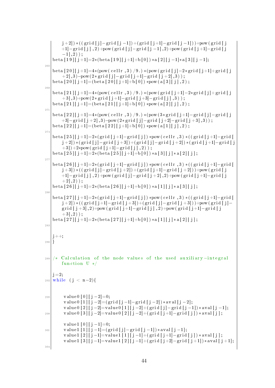$j+2$ ]) \* ((grid  $[j] -$ grid  $[j-1]$ ) + (grid  $[j+1] -$ grid  $[j-1]$ )) + pow (grid  $[j]$ +1]−g ri d [ j ] , 2 )+pow ( g ri d [ j ]− g ri d [ j −1] , 2 )+pow ( g ri d [ j +1]−g ri d [ j  $-11.2)$  ) :  $beta [19][j+1]=2*(beta [19][j+1]+b[0])*a[2][j-1]*a[3][j-1];$ 265 bet a  $[20]$   $[j+1]=4*(pow(cellr, 3) / 9.)*(pow(jrid[j]-2*grid[j+1]+grid[j$  $+ 2$ , 3) – pow  $(2 \times \text{grid} [\text{j}]-\text{grid} [\text{j}+1]-\text{grid} [\text{j}+2], 3))$ ; bet a  $[20][j+1] = (beta [20][j+1]+b [0]) * pow (a [3][j], 2)$ ; 26 bet a  $[21][j+1]=4*(pow(cellr, 3) / 9.)*(pow(grid[j+1]-2*grid[j]+grid[j])$  $+3$ , 3)+pow  $(2 * grid [j+1]-grid [j+3]-grid [j],3)$ ; bet a  $[21][j+1] = (beta [21][j+1]+b [0]) * pow (a [2][j], 2)$ ; 271 bet a  $[22]$   $[j+1]=4*(pow(cellr, 3) / 9.)*(pow(3*grid[j+1]-grid[j]-grid[j])$  $+3$ |−grid  $[$  j +2],3)−pow(2\*grid [j]−grid [j+2]−grid [j+3],3)); bet a  $[22][j+1] = (beta [22][j+1]+b [0]) * pow (a [1][j], 2)$ ; 27  $beta [25][j+1]=2*(grid[j+1]-grid[j])*pow(cellr,3)*((jrid[j+1]-grid[j+1]]-grid[j+1]]$  $|j+2|$ ) \*(grid  $[j]-$ grid  $[j+3])+($ grid  $[j]-$ grid  $[j+2])$  \*(grid  $[j+1]-$ grid  $[j]$  $+3$ ])+2\*pow (grid [j+1]−grid [j],2)); bet a  $[25][j+1]=2*(b$ et a  $[25][j+1]+b[0])$  \* a  $[3][j]*a[2][j]$ ; 27  $beta [ j +1]=2*(grid [ j +1]-grid [ j ])*pow ( cellr, 3) * ((grid [ j +1]-grid [ j$  $j+3$ ]) \* ((grid [j]−grid [j +2]) + (grid [j +1]−grid [j +2])) + pow (grid [j +1]−grid [j],2)+pow (grid [j]−grid [j+2],2)+pow (grid [j+1]−grid [j  $+ 2$ , 2) ) : bet a  $[26][j+1]=2*(b$ et a  $[26][j+1]+b[0])$  \* a  $[1][j]*a [3][j];$ 280  $\beta$  bet a [ 2 7] [ j +1]=2\*(grid [ j +1]−grid [ j | ) \*pow(cellr, 3) \*((grid [ j +1]−grid [  $j+2$ ]) \* ((grid  $[j+1]-$ grid  $[j+3])$  + (grid  $[j]-$ grid  $[j+3])$ ) + pow (grid  $[j]$ grid  $[j+3], 2$  +pow (grid  $[j+1] -$ grid  $[j], 2$  )+pow (grid  $[j+1] -$ grid  $[j]$  $+3$ ,  $2)$  );  $\beta$  bet a [27]  $\lceil j+1 \rceil = 2*(\beta + 1) + 2 + \lceil j \rceil + 1 + \lceil j \rceil + 1 + \lceil j \rceil + 1 + \lceil j \rceil + 1 + \lceil j \rceil + 1 + \lceil j \rceil + 1 + \lceil j \rceil + 1 + \lceil j \rceil + 1 + \lceil j \rceil + 1 + \lceil j \rceil + 1 + \lceil j \rceil + 1 + \lceil j \rceil + 1 + \lceil j \rceil + 1 + \lceil j \rceil + 1 + \lceil j \rceil + 1 + \lceil j \rceil + 1 + \lceil j \$ 283 j ++; <sup>286</sup> }  $\frac{289}{*}$  Calculation of the node values of the used auxiliary-integral function  $U * /$  $j = 2;$ 292 | while (j < n-2){ 295 value 0 [0]  $|j-2|=0;$  $value 0 [1] [j-2] = (grid [j-1]-grid [j-2]) * aval [j-2];$ value0  $[2][j-2]=$ value0  $[1][j-2]+(grid[j]-grid[j-1])*aval[j-1];$ 298 value 0 [3 | [ j −2]= value 0 [2 | [ j −2] + (grid [ j +1] - grid [ j ]) \* aval [ j ]; value1  $[0][j-1]=0;$  $301$  value1  $[1][j-1] = (grid[j]-grid[j-1]) * aval[j-1];$ value1  $[2] [j-1] =$ value1  $[1] [j-1] + (grid [j+1] - grid [j]) * aval[j];$ value1  $[3][j-1]=$ value1  $[2][j-1]+(grid[j+2]-grid[j+1])*aval[j+1];$ 304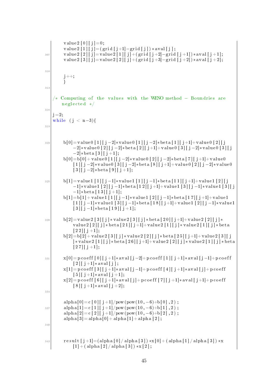```
value 2 [0] [j] = 0;value2 [1] [j] = (grid[j+1]-grid[j]) *aval[j];307 value 2 [2] [ j]= value 2 [1][ j] + (grid [ j +2] - grid [ j +1]) * aval [ j +1];
          value 2 [3] [ j ] = value 2 [2] [ j ] + (grid [ j + 3] - grid [ j + 2]) * aval [ j + 2];
310
          j + +;}
313
        Computing of the values with the WENO method – Boundries are
         neglected */
316
    j = 2;while (j < n-3){
319
\text{b}[0] = \text{value}[1][j-2]*\text{value}[1][j-2]*\text{beta}[1][j+1]+ \text{value}[2][j]−2]∗ v al u e 0 [ 2 ] [ j −2]∗ be t a [ 2 ] [ j +1]+ v al u e 0 [ 3 ] [ j −2]∗ v al u e 0 [ 3 ] [ j
               -2 | * bet a [3] [ j + 1];
          b[0] = b[0] + value[0[1][j-2]*value[0[2][j-2]*beta[7][j+1]+value[0][1] j - 2 *value 0 [3] j - 2 * beta [8] j + 1 +value 0 [2] j - 2 *value 0
               [3][ j -2]* bet a [9][ j +1];
325 b[1]= value1 [1] [ j -1]* value1 [1] [ j -1]* beta [11] [ j +1]+ value1 [2] [ j
               −1]∗ v alue1 [2] [ j −1]∗ bet a [12] [ j +1]+ v alue1 [3] [ j −1]* v alue1 [3] [ j
               -1|∗ beta [13] [ j +1];
          b[1] = b[1] + value1 [1] [j-1]*value1 [2] [j-1]*beta [17] [j+1]+value1\lceil 1 \rceil [ j -1]* value 1 \lceil 3 \rceil [ j -1]* bet a \lceil 18 \rceil [ j +1]+ value 1 \lceil 2 \rceil [ j -1]* value 1
               [3][ j -1]* bet a [19][ j +1];
b[2] = value2 [3][j] * value2 [3][j] * beta[20][j+1] + value2 [2][j] *value 2 [2] [j] * beta [21] [j+1] + value 2 [1] [j] * value 2 [1] [j] * beta[2 2] [j + 1];b[2] = b[2] + value2 [3][j] * value2 [2][j] * beta[25][j+1] + value2 [3][j]| * value 2 [ 1 ] \vert j | * beta [ 2 6 ] \vert j +1] + value 2 [ 2 ] \vert j \vert * value 2 [ 1 ] \vert j \vert * beta
               [2 7] [j + 1];331 x [ 0]= p c o e f f [ 0 ] [ j +1]∗ a v al [ j −2]+ p c o e f f [ 1 ] [ j +1]∗ a v al [ j −1]+ p c o e f f
               [2] [j+1]* av al [j];x[1] = p \, \text{coeff} \, [3] \, [j+1]*av \, \text{all} \, [j-1] + p \, \text{coeff} \, [4] \, [j+1]*av \, \text{all} \, [j]+p \, \text{coeff}[5] [j+1]*aval[j+1];x[2] = p \, \text{coeff} \, [6] \, [j+1]*\text{eval} \, [j] + p \, \text{coeff} \, [7] \, [j+1]*\text{eval} \, [j+1] + p \, \text{coeff}[8][ j +1]* av al [ j +2];
334
          alpha [0] = c [0] [j +1]/pow(pow(10, -6)+b[0], 2);
\begin{array}{c} 337 \end{array} alpha [1] = c [1] [ j +1]/pow(pow(10, -6)+b [1], 2);
          alpha [2] = c [2] [j +1] / pow(pow(10, -6) + b [2], 2);
          aIpha [3] = aIpha [0] + aIpha [1] + aIpha [2];340
\begin{array}{c} 343 \ \end{array} result [j+1] = (alpha [0] / alpha [3]) * x [0] + (alpha [1] / alpha [3]) * x[1] + ( \alpha \ln \frac{2}{3} ) \cdot \alpha \ln \frac{3}{3} \cdot \cdot \cdot [2];
```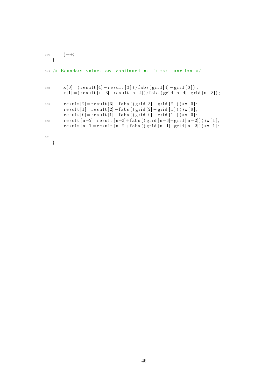```
346 j ++;
     }
349 /* Boundary values are continued as linear function */
352 x [ 0]= ( r e s u l t [4] − r e s u l t [ 3 ] ) / f a b s ( g ri d [4] − g ri d [ 3 ] ) ;
            x[1] = (result [n-3]-result [n-4])/false (grid [n-4]-grid [n-3]);355 r e s u l t [ 2]= r e s u l t [3] − f a b s ( ( g ri d [3] − g ri d [ 2 ] ) ) ∗x [ 0 ] ;
            r e sult \boxed{1} = r e sult \boxed{2} - fabs ((\text{grid} [\begin{bmatrix} 2 \end{bmatrix} - \text{grid} [\begin{bmatrix} 1 \end{bmatrix})) \times x \begin{bmatrix} 0 \end{bmatrix};r \, \text{result} \, [0] = \text{result} \, [1] - \text{false} \, (( \, \text{grid} \, [0] - \text{grid} \, [1] ) \, ) \, *x \, [0] \, ;358 result [n-2] = r esult [n-3] + f a b s ((grid [n-3] - grid [n-2])) * x [1];
            r e sult [n-1]=r e sult [n-2]+f a b s ((\text{grid} [n-1]-\text{grid} [n-2])) * x [1];
361
     }
```